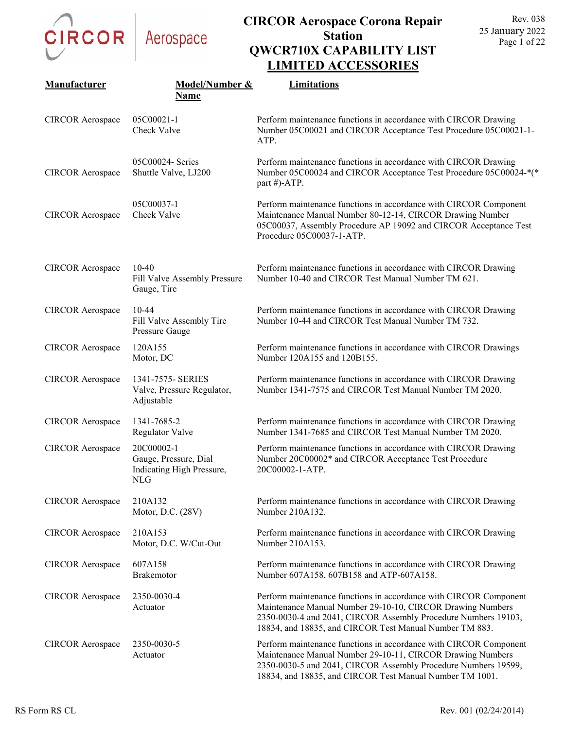

| Manufacturer            | Model/Number &                                                             | LIMITED ACCESSONIES<br>Limitations                                                                                                                                                                                                                            |
|-------------------------|----------------------------------------------------------------------------|---------------------------------------------------------------------------------------------------------------------------------------------------------------------------------------------------------------------------------------------------------------|
|                         | <b>Name</b>                                                                |                                                                                                                                                                                                                                                               |
| <b>CIRCOR</b> Aerospace | 05C00021-1<br>Check Valve                                                  | Perform maintenance functions in accordance with CIRCOR Drawing<br>Number 05C00021 and CIRCOR Acceptance Test Procedure 05C00021-1-<br>ATP.                                                                                                                   |
| <b>CIRCOR</b> Aerospace | 05C00024- Series<br>Shuttle Valve, LJ200                                   | Perform maintenance functions in accordance with CIRCOR Drawing<br>Number 05C00024 and CIRCOR Acceptance Test Procedure 05C00024-*(*<br>part #)-ATP.                                                                                                          |
| <b>CIRCOR</b> Aerospace | 05C00037-1<br>Check Valve                                                  | Perform maintenance functions in accordance with CIRCOR Component<br>Maintenance Manual Number 80-12-14, CIRCOR Drawing Number<br>05C00037, Assembly Procedure AP 19092 and CIRCOR Acceptance Test<br>Procedure 05C00037-1-ATP.                               |
| <b>CIRCOR</b> Aerospace | $10-40$<br>Fill Valve Assembly Pressure<br>Gauge, Tire                     | Perform maintenance functions in accordance with CIRCOR Drawing<br>Number 10-40 and CIRCOR Test Manual Number TM 621.                                                                                                                                         |
| <b>CIRCOR</b> Aerospace | 10-44<br>Fill Valve Assembly Tire<br>Pressure Gauge                        | Perform maintenance functions in accordance with CIRCOR Drawing<br>Number 10-44 and CIRCOR Test Manual Number TM 732.                                                                                                                                         |
| <b>CIRCOR</b> Aerospace | 120A155<br>Motor, DC                                                       | Perform maintenance functions in accordance with CIRCOR Drawings<br>Number 120A155 and 120B155.                                                                                                                                                               |
| <b>CIRCOR</b> Aerospace | 1341-7575- SERIES<br>Valve, Pressure Regulator,<br>Adjustable              | Perform maintenance functions in accordance with CIRCOR Drawing<br>Number 1341-7575 and CIRCOR Test Manual Number TM 2020.                                                                                                                                    |
| <b>CIRCOR</b> Aerospace | 1341-7685-2<br><b>Regulator Valve</b>                                      | Perform maintenance functions in accordance with CIRCOR Drawing<br>Number 1341-7685 and CIRCOR Test Manual Number TM 2020.                                                                                                                                    |
| <b>CIRCOR</b> Aerospace | 20C00002-1<br>Gauge, Pressure, Dial<br>Indicating High Pressure,<br>NLG TV | Perform maintenance functions in accordance with CIRCOR Drawing<br>Number 20C00002* and CIRCOR Acceptance Test Procedure<br>20C00002-1-ATP.                                                                                                                   |
| <b>CIRCOR</b> Aerospace | 210A132<br>Motor, D.C. (28V)                                               | Perform maintenance functions in accordance with CIRCOR Drawing<br>Number 210A132.                                                                                                                                                                            |
| <b>CIRCOR Aerospace</b> | 210A153<br>Motor, D.C. W/Cut-Out                                           | Perform maintenance functions in accordance with CIRCOR Drawing<br>Number 210A153.                                                                                                                                                                            |
| <b>CIRCOR Aerospace</b> | 607A158<br>Brakemotor                                                      | Perform maintenance functions in accordance with CIRCOR Drawing<br>Number 607A158, 607B158 and ATP-607A158.                                                                                                                                                   |
| <b>CIRCOR</b> Aerospace | 2350-0030-4<br>Actuator                                                    | Perform maintenance functions in accordance with CIRCOR Component<br>Maintenance Manual Number 29-10-10, CIRCOR Drawing Numbers<br>2350-0030-4 and 2041, CIRCOR Assembly Procedure Numbers 19103,<br>18834, and 18835, and CIRCOR Test Manual Number TM 883.  |
| <b>CIRCOR</b> Aerospace | 2350-0030-5<br>Actuator                                                    | Perform maintenance functions in accordance with CIRCOR Component<br>Maintenance Manual Number 29-10-11, CIRCOR Drawing Numbers<br>2350-0030-5 and 2041, CIRCOR Assembly Procedure Numbers 19599,<br>18834, and 18835, and CIRCOR Test Manual Number TM 1001. |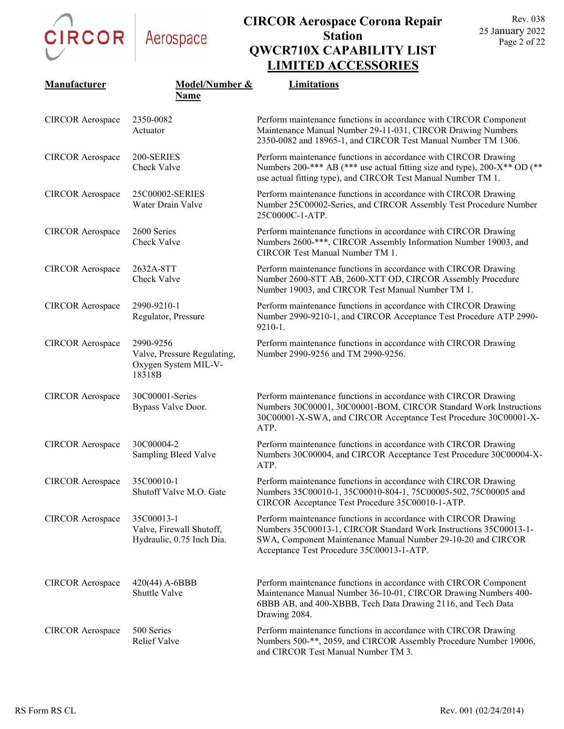

|                         |                                                                            | LIMITED ACCESSONIES                                                                                                                                                                                                                               |
|-------------------------|----------------------------------------------------------------------------|---------------------------------------------------------------------------------------------------------------------------------------------------------------------------------------------------------------------------------------------------|
| Manufacturer            | Model/Number &                                                             | Limitations                                                                                                                                                                                                                                       |
|                         | <b>Name</b>                                                                |                                                                                                                                                                                                                                                   |
| <b>CIRCOR</b> Aerospace | 2350-0082<br>Actuator                                                      | Perform maintenance functions in accordance with CIRCOR Component<br>Maintenance Manual Number 29-11-031, CIRCOR Drawing Numbers<br>2350-0082 and 18965-1, and CIRCOR Test Manual Number TM 1306.                                                 |
| <b>CIRCOR</b> Aerospace | 200-SERIES<br>Check Valve                                                  | Perform maintenance functions in accordance with CIRCOR Drawing<br>Numbers 200-*** AB (*** use actual fitting size and type), 200-X** OD (**<br>use actual fitting type), and CIRCOR Test Manual Number TM 1.                                     |
| <b>CIRCOR</b> Aerospace | 25C00002-SERIES<br>Water Drain Valve                                       | Perform maintenance functions in accordance with CIRCOR Drawing<br>Number 25C00002-Series, and CIRCOR Assembly Test Procedure Number<br>25C0000C-1-ATP.                                                                                           |
| <b>CIRCOR</b> Aerospace | 2600 Series<br>Check Valve                                                 | Perform maintenance functions in accordance with CIRCOR Drawing<br>Numbers 2600-***, CIRCOR Assembly Information Number 19003, and<br>CIRCOR Test Manual Number TM 1.                                                                             |
| <b>CIRCOR</b> Aerospace | 2632A-8TT<br>Check Valve                                                   | Perform maintenance functions in accordance with CIRCOR Drawing<br>Number 2600-8TT AB, 2600-XTT OD, CIRCOR Assembly Procedure<br>Number 19003, and CIRCOR Test Manual Number TM 1.                                                                |
| <b>CIRCOR</b> Aerospace | 2990-9210-1<br>Regulator, Pressure                                         | Perform maintenance functions in accordance with CIRCOR Drawing<br>Number 2990-9210-1, and CIRCOR Acceptance Test Procedure ATP 2990-<br>$9210-1.$                                                                                                |
| <b>CIRCOR</b> Aerospace | 2990-9256<br>Valve, Pressure Regulating,<br>Oxygen System MIL-V-<br>18318B | Perform maintenance functions in accordance with CIRCOR Drawing<br>Number 2990-9256 and TM 2990-9256.                                                                                                                                             |
| <b>CIRCOR</b> Aerospace | 30C00001-Series<br>Bypass Valve Door.                                      | Perform maintenance functions in accordance with CIRCOR Drawing<br>Numbers 30C00001, 30C00001-BOM, CIRCOR Standard Work Instructions<br>30C00001-X-SWA, and CIRCOR Acceptance Test Procedure 30C00001-X-<br>ATP.                                  |
| <b>CIRCOR</b> Aerospace | 30C00004-2<br>Sampling Bleed Valve                                         | Perform maintenance functions in accordance with CIRCOR Drawing<br>Numbers 30C00004, and CIRCOR Acceptance Test Procedure 30C00004-X-<br>ATP.                                                                                                     |
| <b>CIRCOR</b> Aerospace | 35C00010-1<br>Shutoff Valve M.O. Gate                                      | Perform maintenance functions in accordance with CIRCOR Drawing<br>Numbers 35C00010-1, 35C00010-804-1, 75C00005-502, 75C00005 and<br>CIRCOR Acceptance Test Procedure 35C00010-1-ATP.                                                             |
| <b>CIRCOR</b> Aerospace | 35C00013-1<br>Valve, Firewall Shutoff,<br>Hydraulic, 0.75 Inch Dia.        | Perform maintenance functions in accordance with CIRCOR Drawing<br>Numbers 35C00013-1, CIRCOR Standard Work Instructions 35C00013-1-<br>SWA, Component Maintenance Manual Number 29-10-20 and CIRCOR<br>Acceptance Test Procedure 35C00013-1-ATP. |
| <b>CIRCOR</b> Aerospace | $420(44)$ A-6BBB<br><b>Shuttle Valve</b>                                   | Perform maintenance functions in accordance with CIRCOR Component<br>Maintenance Manual Number 36-10-01, CIRCOR Drawing Numbers 400-<br>6BBB AB, and 400-XBBB, Tech Data Drawing 2116, and Tech Data<br>Drawing 2084.                             |
| <b>CIRCOR</b> Aerospace | 500 Series<br>Relief Valve                                                 | Perform maintenance functions in accordance with CIRCOR Drawing<br>Numbers 500-**, 2059, and CIRCOR Assembly Procedure Number 19006,<br>and CIRCOR Test Manual Number TM 3.                                                                       |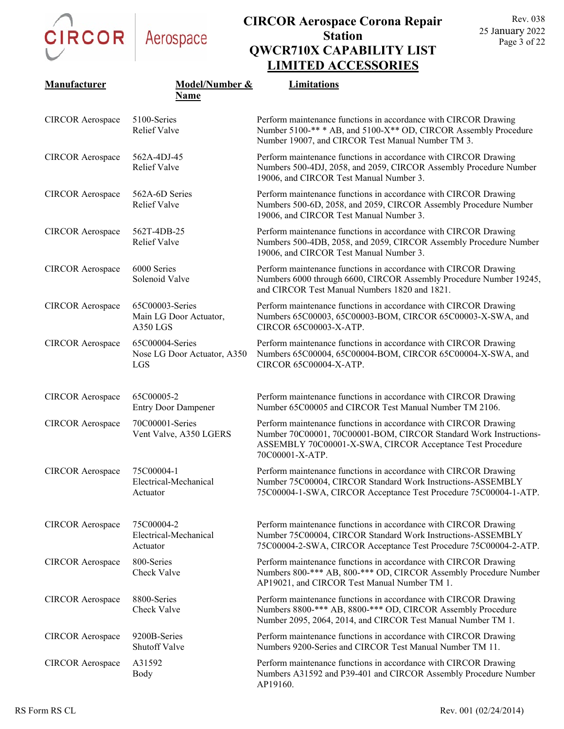

| Manufacturer            | Model/Number &                                        | Limitations                                                                                                                                                                                                          |
|-------------------------|-------------------------------------------------------|----------------------------------------------------------------------------------------------------------------------------------------------------------------------------------------------------------------------|
|                         | <b>Name</b>                                           |                                                                                                                                                                                                                      |
| <b>CIRCOR Aerospace</b> | 5100-Series<br><b>Relief Valve</b>                    | Perform maintenance functions in accordance with CIRCOR Drawing<br>Number 5100-** * AB, and 5100-X** OD, CIRCOR Assembly Procedure<br>Number 19007, and CIRCOR Test Manual Number TM 3.                              |
| <b>CIRCOR</b> Aerospace | 562A-4DJ-45<br><b>Relief Valve</b>                    | Perform maintenance functions in accordance with CIRCOR Drawing<br>Numbers 500-4DJ, 2058, and 2059, CIRCOR Assembly Procedure Number<br>19006, and CIRCOR Test Manual Number 3.                                      |
| <b>CIRCOR</b> Aerospace | 562A-6D Series<br><b>Relief Valve</b>                 | Perform maintenance functions in accordance with CIRCOR Drawing<br>Numbers 500-6D, 2058, and 2059, CIRCOR Assembly Procedure Number<br>19006, and CIRCOR Test Manual Number 3.                                       |
| <b>CIRCOR</b> Aerospace | 562T-4DB-25<br><b>Relief Valve</b>                    | Perform maintenance functions in accordance with CIRCOR Drawing<br>Numbers 500-4DB, 2058, and 2059, CIRCOR Assembly Procedure Number<br>19006, and CIRCOR Test Manual Number 3.                                      |
| <b>CIRCOR</b> Aerospace | 6000 Series<br>Solenoid Valve                         | Perform maintenance functions in accordance with CIRCOR Drawing<br>Numbers 6000 through 6600, CIRCOR Assembly Procedure Number 19245,<br>and CIRCOR Test Manual Numbers 1820 and 1821.                               |
| <b>CIRCOR Aerospace</b> | 65C00003-Series<br>Main LG Door Actuator,<br>A350 LGS | Perform maintenance functions in accordance with CIRCOR Drawing<br>Numbers 65C00003, 65C00003-BOM, CIRCOR 65C00003-X-SWA, and<br>CIRCOR 65C00003-X-ATP.                                                              |
| <b>CIRCOR</b> Aerospace | 65C00004-Series<br>Nose LG Door Actuator, A350<br>LGS | Perform maintenance functions in accordance with CIRCOR Drawing<br>Numbers 65C00004, 65C00004-BOM, CIRCOR 65C00004-X-SWA, and<br>CIRCOR 65C00004-X-ATP.                                                              |
| <b>CIRCOR</b> Aerospace | 65C00005-2<br><b>Entry Door Dampener</b>              | Perform maintenance functions in accordance with CIRCOR Drawing<br>Number 65C00005 and CIRCOR Test Manual Number TM 2106.                                                                                            |
| <b>CIRCOR</b> Aerospace | 70C00001-Series<br>Vent Valve, A350 LGERS             | Perform maintenance functions in accordance with CIRCOR Drawing<br>Number 70C00001, 70C00001-BOM, CIRCOR Standard Work Instructions-<br>ASSEMBLY 70C00001-X-SWA, CIRCOR Acceptance Test Procedure<br>70C00001-X-ATP. |
| <b>CIRCOR Aerospace</b> | 75C00004-1<br>Electrical-Mechanical<br>Actuator       | Perform maintenance functions in accordance with CIRCOR Drawing<br>Number 75C00004, CIRCOR Standard Work Instructions-ASSEMBLY<br>75C00004-1-SWA, CIRCOR Acceptance Test Procedure 75C00004-1-ATP.                   |
| <b>CIRCOR</b> Aerospace | 75C00004-2<br>Electrical-Mechanical<br>Actuator       | Perform maintenance functions in accordance with CIRCOR Drawing<br>Number 75C00004, CIRCOR Standard Work Instructions-ASSEMBLY<br>75C00004-2-SWA, CIRCOR Acceptance Test Procedure 75C00004-2-ATP.                   |
| <b>CIRCOR</b> Aerospace | 800-Series<br>Check Valve                             | Perform maintenance functions in accordance with CIRCOR Drawing<br>Numbers 800-*** AB, 800-*** OD, CIRCOR Assembly Procedure Number<br>AP19021, and CIRCOR Test Manual Number TM 1.                                  |
| <b>CIRCOR Aerospace</b> | 8800-Series<br>Check Valve                            | Perform maintenance functions in accordance with CIRCOR Drawing<br>Numbers 8800-*** AB, 8800-*** OD, CIRCOR Assembly Procedure<br>Number 2095, 2064, 2014, and CIRCOR Test Manual Number TM 1.                       |
| <b>CIRCOR</b> Aerospace | 9200B-Series<br>Shutoff Valve                         | Perform maintenance functions in accordance with CIRCOR Drawing<br>Numbers 9200-Series and CIRCOR Test Manual Number TM 11.                                                                                          |
| <b>CIRCOR Aerospace</b> | A31592<br>Body                                        | Perform maintenance functions in accordance with CIRCOR Drawing<br>Numbers A31592 and P39-401 and CIRCOR Assembly Procedure Number<br>AP19160.                                                                       |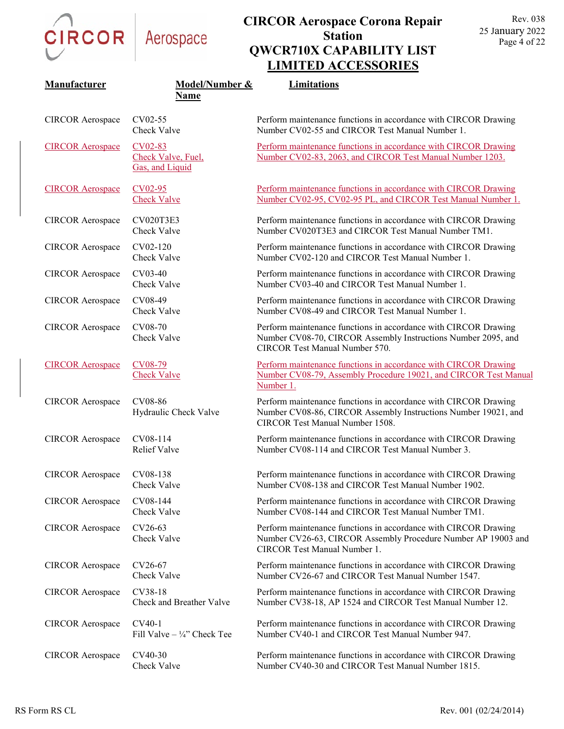

| Manufacturer            | Model/Number &                                   | Limitations                                                                                                                                                          |
|-------------------------|--------------------------------------------------|----------------------------------------------------------------------------------------------------------------------------------------------------------------------|
|                         | Name                                             |                                                                                                                                                                      |
| <b>CIRCOR</b> Aerospace | CV02-55<br>Check Valve                           | Perform maintenance functions in accordance with CIRCOR Drawing<br>Number CV02-55 and CIRCOR Test Manual Number 1.                                                   |
| <b>CIRCOR Aerospace</b> | CV02-83<br>Check Valve, Fuel,<br>Gas, and Liquid | Perform maintenance functions in accordance with CIRCOR Drawing<br>Number CV02-83, 2063, and CIRCOR Test Manual Number 1203.                                         |
| <b>CIRCOR Aerospace</b> | $CV02-95$<br><b>Check Valve</b>                  | Perform maintenance functions in accordance with CIRCOR Drawing<br>Number CV02-95, CV02-95 PL, and CIRCOR Test Manual Number 1.                                      |
| <b>CIRCOR</b> Aerospace | CV020T3E3<br>Check Valve                         | Perform maintenance functions in accordance with CIRCOR Drawing<br>Number CV020T3E3 and CIRCOR Test Manual Number TM1.                                               |
| <b>CIRCOR</b> Aerospace | CV02-120<br>Check Valve                          | Perform maintenance functions in accordance with CIRCOR Drawing<br>Number CV02-120 and CIRCOR Test Manual Number 1.                                                  |
| <b>CIRCOR</b> Aerospace | CV03-40<br>Check Valve                           | Perform maintenance functions in accordance with CIRCOR Drawing<br>Number CV03-40 and CIRCOR Test Manual Number 1.                                                   |
| <b>CIRCOR</b> Aerospace | CV08-49<br>Check Valve                           | Perform maintenance functions in accordance with CIRCOR Drawing<br>Number CV08-49 and CIRCOR Test Manual Number 1.                                                   |
| <b>CIRCOR</b> Aerospace | CV08-70<br>Check Valve                           | Perform maintenance functions in accordance with CIRCOR Drawing<br>Number CV08-70, CIRCOR Assembly Instructions Number 2095, and<br>CIRCOR Test Manual Number 570.   |
| <b>CIRCOR Aerospace</b> | CV08-79<br><b>Check Valve</b>                    | Perform maintenance functions in accordance with CIRCOR Drawing<br>Number CV08-79, Assembly Procedure 19021, and CIRCOR Test Manual<br>Number 1.                     |
| <b>CIRCOR</b> Aerospace | CV08-86<br>Hydraulic Check Valve                 | Perform maintenance functions in accordance with CIRCOR Drawing<br>Number CV08-86, CIRCOR Assembly Instructions Number 19021, and<br>CIRCOR Test Manual Number 1508. |
| <b>CIRCOR</b> Aerospace | CV08-114<br>Relief Valve                         | Perform maintenance functions in accordance with CIRCOR Drawing<br>Number CV08-114 and CIRCOR Test Manual Number 3.                                                  |
| <b>CIRCOR</b> Aerospace | CV08-138<br>Check Valve                          | Perform maintenance functions in accordance with CIRCOR Drawing<br>Number CV08-138 and CIRCOR Test Manual Number 1902.                                               |
| <b>CIRCOR</b> Aerospace | CV08-144<br>Check Valve                          | Perform maintenance functions in accordance with CIRCOR Drawing<br>Number CV08-144 and CIRCOR Test Manual Number TM1.                                                |
| <b>CIRCOR</b> Aerospace | CV26-63<br>Check Valve                           | Perform maintenance functions in accordance with CIRCOR Drawing<br>Number CV26-63, CIRCOR Assembly Procedure Number AP 19003 and<br>CIRCOR Test Manual Number 1.     |
| <b>CIRCOR Aerospace</b> | CV26-67<br>Check Valve                           | Perform maintenance functions in accordance with CIRCOR Drawing<br>Number CV26-67 and CIRCOR Test Manual Number 1547.                                                |
| <b>CIRCOR</b> Aerospace | CV38-18<br>Check and Breather Valve              | Perform maintenance functions in accordance with CIRCOR Drawing<br>Number CV38-18, AP 1524 and CIRCOR Test Manual Number 12.                                         |
| <b>CIRCOR</b> Aerospace | CV40-1<br>Fill Valve $-$ ¼" Check Tee            | Perform maintenance functions in accordance with CIRCOR Drawing<br>Number CV40-1 and CIRCOR Test Manual Number 947.                                                  |
| <b>CIRCOR</b> Aerospace | CV40-30<br>Check Valve                           | Perform maintenance functions in accordance with CIRCOR Drawing<br>Number CV40-30 and CIRCOR Test Manual Number 1815.                                                |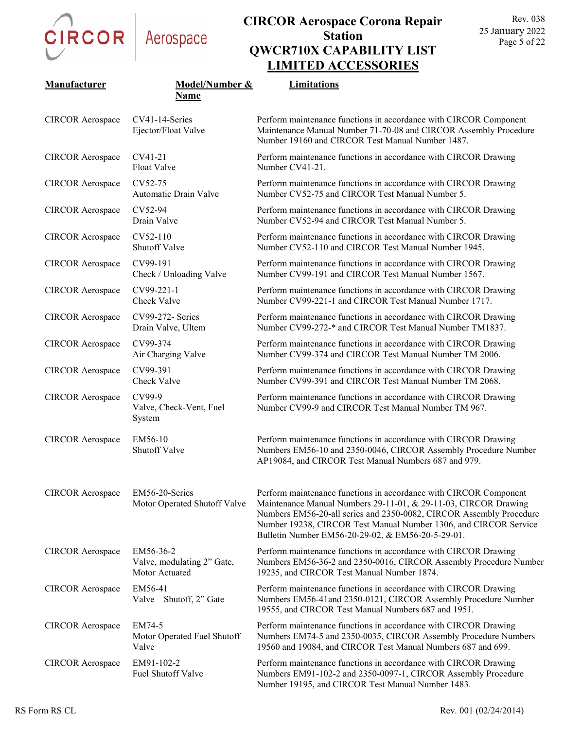

| Manufacturer            | Model/Number &<br><b>Name</b>                             | Limitations                                                                                                                                                                                                                                                                                                                          |
|-------------------------|-----------------------------------------------------------|--------------------------------------------------------------------------------------------------------------------------------------------------------------------------------------------------------------------------------------------------------------------------------------------------------------------------------------|
| <b>CIRCOR</b> Aerospace | CV41-14-Series<br>Ejector/Float Valve                     | Perform maintenance functions in accordance with CIRCOR Component<br>Maintenance Manual Number 71-70-08 and CIRCOR Assembly Procedure<br>Number 19160 and CIRCOR Test Manual Number 1487.                                                                                                                                            |
| <b>CIRCOR</b> Aerospace | CV41-21<br>Float Valve                                    | Perform maintenance functions in accordance with CIRCOR Drawing<br>Number CV41-21.                                                                                                                                                                                                                                                   |
| <b>CIRCOR Aerospace</b> | CV52-75<br>Automatic Drain Valve                          | Perform maintenance functions in accordance with CIRCOR Drawing<br>Number CV52-75 and CIRCOR Test Manual Number 5.                                                                                                                                                                                                                   |
| <b>CIRCOR</b> Aerospace | CV52-94<br>Drain Valve                                    | Perform maintenance functions in accordance with CIRCOR Drawing<br>Number CV52-94 and CIRCOR Test Manual Number 5.                                                                                                                                                                                                                   |
| <b>CIRCOR</b> Aerospace | CV52-110<br><b>Shutoff Valve</b>                          | Perform maintenance functions in accordance with CIRCOR Drawing<br>Number CV52-110 and CIRCOR Test Manual Number 1945.                                                                                                                                                                                                               |
| <b>CIRCOR</b> Aerospace | CV99-191<br>Check / Unloading Valve                       | Perform maintenance functions in accordance with CIRCOR Drawing<br>Number CV99-191 and CIRCOR Test Manual Number 1567.                                                                                                                                                                                                               |
| <b>CIRCOR</b> Aerospace | CV99-221-1<br>Check Valve                                 | Perform maintenance functions in accordance with CIRCOR Drawing<br>Number CV99-221-1 and CIRCOR Test Manual Number 1717.                                                                                                                                                                                                             |
| <b>CIRCOR</b> Aerospace | CV99-272- Series<br>Drain Valve, Ultem                    | Perform maintenance functions in accordance with CIRCOR Drawing<br>Number CV99-272-* and CIRCOR Test Manual Number TM1837.                                                                                                                                                                                                           |
| <b>CIRCOR</b> Aerospace | CV99-374<br>Air Charging Valve                            | Perform maintenance functions in accordance with CIRCOR Drawing<br>Number CV99-374 and CIRCOR Test Manual Number TM 2006.                                                                                                                                                                                                            |
| <b>CIRCOR</b> Aerospace | CV99-391<br>Check Valve                                   | Perform maintenance functions in accordance with CIRCOR Drawing<br>Number CV99-391 and CIRCOR Test Manual Number TM 2068.                                                                                                                                                                                                            |
| <b>CIRCOR</b> Aerospace | CV99-9<br>Valve, Check-Vent, Fuel<br>System               | Perform maintenance functions in accordance with CIRCOR Drawing<br>Number CV99-9 and CIRCOR Test Manual Number TM 967.                                                                                                                                                                                                               |
| <b>CIRCOR</b> Aerospace | EM56-10<br>Shutoff Valve                                  | Perform maintenance functions in accordance with CIRCOR Drawing<br>Numbers EM56-10 and 2350-0046, CIRCOR Assembly Procedure Number<br>AP19084, and CIRCOR Test Manual Numbers 687 and 979.                                                                                                                                           |
| <b>CIRCOR Aerospace</b> | EM56-20-Series<br>Motor Operated Shutoff Valve            | Perform maintenance functions in accordance with CIRCOR Component<br>Maintenance Manual Numbers 29-11-01, & 29-11-03, CIRCOR Drawing<br>Numbers EM56-20-all series and 2350-0082, CIRCOR Assembly Procedure<br>Number 19238, CIRCOR Test Manual Number 1306, and CIRCOR Service<br>Bulletin Number EM56-20-29-02, & EM56-20-5-29-01. |
| <b>CIRCOR Aerospace</b> | EM56-36-2<br>Valve, modulating 2" Gate,<br>Motor Actuated | Perform maintenance functions in accordance with CIRCOR Drawing<br>Numbers EM56-36-2 and 2350-0016, CIRCOR Assembly Procedure Number<br>19235, and CIRCOR Test Manual Number 1874.                                                                                                                                                   |
| <b>CIRCOR Aerospace</b> | EM56-41<br>Valve - Shutoff, 2" Gate                       | Perform maintenance functions in accordance with CIRCOR Drawing<br>Numbers EM56-41 and 2350-0121, CIRCOR Assembly Procedure Number<br>19555, and CIRCOR Test Manual Numbers 687 and 1951.                                                                                                                                            |
| <b>CIRCOR</b> Aerospace | EM74-5<br>Motor Operated Fuel Shutoff<br>Valve            | Perform maintenance functions in accordance with CIRCOR Drawing<br>Numbers EM74-5 and 2350-0035, CIRCOR Assembly Procedure Numbers<br>19560 and 19084, and CIRCOR Test Manual Numbers 687 and 699.                                                                                                                                   |
| <b>CIRCOR</b> Aerospace | EM91-102-2<br>Fuel Shutoff Valve                          | Perform maintenance functions in accordance with CIRCOR Drawing<br>Numbers EM91-102-2 and 2350-0097-1, CIRCOR Assembly Procedure<br>Number 19195, and CIRCOR Test Manual Number 1483.                                                                                                                                                |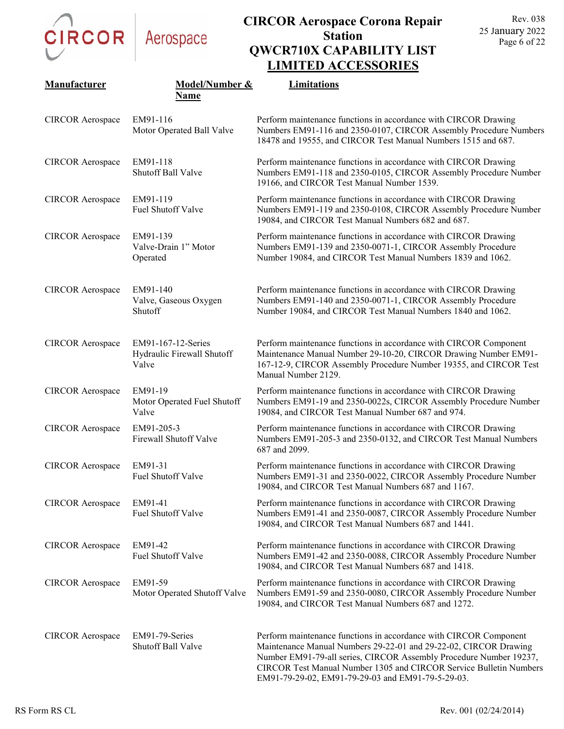

### **CIRCOR Aerospace Corona Repair Station QWCR710X CAPABILITY LIST LIMITED ACCESSORIES**

| Manufacturer            | Model/Number &                                            | Limitations                                                                                                                                                                                                                                                                       |
|-------------------------|-----------------------------------------------------------|-----------------------------------------------------------------------------------------------------------------------------------------------------------------------------------------------------------------------------------------------------------------------------------|
|                         | <b>Name</b>                                               |                                                                                                                                                                                                                                                                                   |
| <b>CIRCOR Aerospace</b> | EM91-116<br>Motor Operated Ball Valve                     | Perform maintenance functions in accordance with CIRCOR Drawing<br>Numbers EM91-116 and 2350-0107, CIRCOR Assembly Procedure Numbers<br>18478 and 19555, and CIRCOR Test Manual Numbers 1515 and 687.                                                                             |
| <b>CIRCOR</b> Aerospace | EM91-118<br>Shutoff Ball Valve                            | Perform maintenance functions in accordance with CIRCOR Drawing<br>Numbers EM91-118 and 2350-0105, CIRCOR Assembly Procedure Number<br>19166, and CIRCOR Test Manual Number 1539.                                                                                                 |
| <b>CIRCOR Aerospace</b> | EM91-119<br>Fuel Shutoff Valve                            | Perform maintenance functions in accordance with CIRCOR Drawing<br>Numbers EM91-119 and 2350-0108, CIRCOR Assembly Procedure Number<br>19084, and CIRCOR Test Manual Numbers 682 and 687.                                                                                         |
| <b>CIRCOR Aerospace</b> | EM91-139<br>Valve-Drain 1" Motor<br>Operated              | Perform maintenance functions in accordance with CIRCOR Drawing<br>Numbers EM91-139 and 2350-0071-1, CIRCOR Assembly Procedure<br>Number 19084, and CIRCOR Test Manual Numbers 1839 and 1062.                                                                                     |
| <b>CIRCOR Aerospace</b> | EM91-140<br>Valve, Gaseous Oxygen<br>Shutoff              | Perform maintenance functions in accordance with CIRCOR Drawing<br>Numbers EM91-140 and 2350-0071-1, CIRCOR Assembly Procedure<br>Number 19084, and CIRCOR Test Manual Numbers 1840 and 1062.                                                                                     |
| <b>CIRCOR Aerospace</b> | EM91-167-12-Series<br>Hydraulic Firewall Shutoff<br>Valve | Perform maintenance functions in accordance with CIRCOR Component<br>Maintenance Manual Number 29-10-20, CIRCOR Drawing Number EM91-<br>167-12-9, CIRCOR Assembly Procedure Number 19355, and CIRCOR Test<br>Manual Number 2129.                                                  |
| <b>CIRCOR</b> Aerospace | EM91-19<br>Motor Operated Fuel Shutoff<br>Valve           | Perform maintenance functions in accordance with CIRCOR Drawing<br>Numbers EM91-19 and 2350-0022s, CIRCOR Assembly Procedure Number<br>19084, and CIRCOR Test Manual Number 687 and 974.                                                                                          |
| <b>CIRCOR Aerospace</b> | EM91-205-3<br>Firewall Shutoff Valve                      | Perform maintenance functions in accordance with CIRCOR Drawing<br>Numbers EM91-205-3 and 2350-0132, and CIRCOR Test Manual Numbers<br>687 and 2099.                                                                                                                              |
| <b>CIRCOR Aerospace</b> | EM91-31<br>Fuel Shutoff Valve                             | Perform maintenance functions in accordance with CIRCOR Drawing<br>Numbers EM91-31 and 2350-0022, CIRCOR Assembly Procedure Number<br>19084, and CIRCOR Test Manual Numbers 687 and 1167.                                                                                         |
| <b>CIRCOR Aerospace</b> | EM91-41<br>Fuel Shutoff Valve                             | Perform maintenance functions in accordance with CIRCOR Drawing<br>Numbers EM91-41 and 2350-0087, CIRCOR Assembly Procedure Number<br>19084, and CIRCOR Test Manual Numbers 687 and 1441.                                                                                         |
| <b>CIRCOR</b> Aerospace | EM91-42<br>Fuel Shutoff Valve                             | Perform maintenance functions in accordance with CIRCOR Drawing<br>Numbers EM91-42 and 2350-0088, CIRCOR Assembly Procedure Number<br>19084, and CIRCOR Test Manual Numbers 687 and 1418.                                                                                         |
| <b>CIRCOR Aerospace</b> | EM91-59<br>Motor Operated Shutoff Valve                   | Perform maintenance functions in accordance with CIRCOR Drawing<br>Numbers EM91-59 and 2350-0080, CIRCOR Assembly Procedure Number<br>19084, and CIRCOR Test Manual Numbers 687 and 1272.                                                                                         |
| <b>CIRCOR</b> Aerospace | EM91-79-Series<br>Shutoff Ball Valve                      | Perform maintenance functions in accordance with CIRCOR Component<br>Maintenance Manual Numbers 29-22-01 and 29-22-02, CIRCOR Drawing<br>Number EM91-79-all series, CIRCOR Assembly Procedure Number 19237,<br>CIRCOR Test Manual Number 1305 and CIRCOR Service Bulletin Numbers |

EM91-79-29-02, EM91-79-29-03 and EM91-79-5-29-03.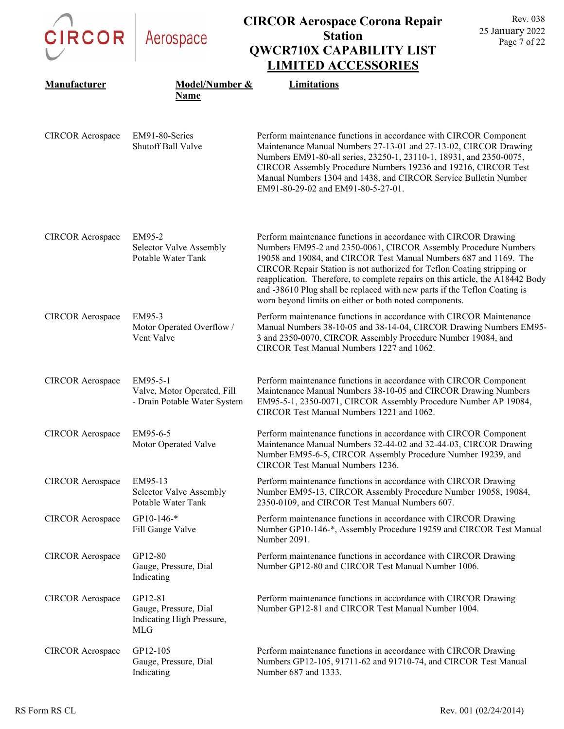| <b>CIRCOR</b>           | Aerospace                                                                   | <b>CIRCOR Aerospace Corona Repair</b><br><b>Station</b><br><b>QWCR710X CAPABILITY LIST</b><br><b>LIMITED ACCESSORIES</b>                                                                                                                                                                                                                                                                                                                                                                                    | Rev. 038<br>25 January 2022<br>Page 7 of 22 |
|-------------------------|-----------------------------------------------------------------------------|-------------------------------------------------------------------------------------------------------------------------------------------------------------------------------------------------------------------------------------------------------------------------------------------------------------------------------------------------------------------------------------------------------------------------------------------------------------------------------------------------------------|---------------------------------------------|
| Manufacturer            | Model/Number &<br>Name                                                      | Limitations                                                                                                                                                                                                                                                                                                                                                                                                                                                                                                 |                                             |
| <b>CIRCOR</b> Aerospace | EM91-80-Series<br>Shutoff Ball Valve                                        | Perform maintenance functions in accordance with CIRCOR Component<br>Maintenance Manual Numbers 27-13-01 and 27-13-02, CIRCOR Drawing<br>Numbers EM91-80-all series, 23250-1, 23110-1, 18931, and 2350-0075,<br>CIRCOR Assembly Procedure Numbers 19236 and 19216, CIRCOR Test<br>Manual Numbers 1304 and 1438, and CIRCOR Service Bulletin Number<br>EM91-80-29-02 and EM91-80-5-27-01.                                                                                                                    |                                             |
| <b>CIRCOR</b> Aerospace | EM95-2<br>Selector Valve Assembly<br>Potable Water Tank                     | Perform maintenance functions in accordance with CIRCOR Drawing<br>Numbers EM95-2 and 2350-0061, CIRCOR Assembly Procedure Numbers<br>19058 and 19084, and CIRCOR Test Manual Numbers 687 and 1169. The<br>CIRCOR Repair Station is not authorized for Teflon Coating stripping or<br>reapplication. Therefore, to complete repairs on this article, the A18442 Body<br>and -38610 Plug shall be replaced with new parts if the Teflon Coating is<br>worn beyond limits on either or both noted components. |                                             |
| <b>CIRCOR Aerospace</b> | EM95-3<br>Motor Operated Overflow /<br>Vent Valve                           | Perform maintenance functions in accordance with CIRCOR Maintenance<br>Manual Numbers 38-10-05 and 38-14-04, CIRCOR Drawing Numbers EM95-<br>3 and 2350-0070, CIRCOR Assembly Procedure Number 19084, and<br>CIRCOR Test Manual Numbers 1227 and 1062.                                                                                                                                                                                                                                                      |                                             |
| <b>CIRCOR</b> Aerospace | EM95-5-1<br>Valve, Motor Operated, Fill<br>- Drain Potable Water System     | Perform maintenance functions in accordance with CIRCOR Component<br>Maintenance Manual Numbers 38-10-05 and CIRCOR Drawing Numbers<br>EM95-5-1, 2350-0071, CIRCOR Assembly Procedure Number AP 19084,<br>CIRCOR Test Manual Numbers 1221 and 1062.                                                                                                                                                                                                                                                         |                                             |
| <b>CIRCOR Aerospace</b> | EM95-6-5<br>Motor Operated Valve                                            | Perform maintenance functions in accordance with CIRCOR Component<br>Maintenance Manual Numbers 32-44-02 and 32-44-03, CIRCOR Drawing<br>Number EM95-6-5, CIRCOR Assembly Procedure Number 19239, and<br><b>CIRCOR Test Manual Numbers 1236.</b>                                                                                                                                                                                                                                                            |                                             |
| <b>CIRCOR</b> Aerospace | EM95-13<br>Selector Valve Assembly<br>Potable Water Tank                    | Perform maintenance functions in accordance with CIRCOR Drawing<br>Number EM95-13, CIRCOR Assembly Procedure Number 19058, 19084,<br>2350-0109, and CIRCOR Test Manual Numbers 607.                                                                                                                                                                                                                                                                                                                         |                                             |
| <b>CIRCOR Aerospace</b> | GP10-146-*<br>Fill Gauge Valve                                              | Perform maintenance functions in accordance with CIRCOR Drawing<br>Number GP10-146-*, Assembly Procedure 19259 and CIRCOR Test Manual<br>Number 2091.                                                                                                                                                                                                                                                                                                                                                       |                                             |
| <b>CIRCOR Aerospace</b> | GP12-80<br>Gauge, Pressure, Dial<br>Indicating                              | Perform maintenance functions in accordance with CIRCOR Drawing<br>Number GP12-80 and CIRCOR Test Manual Number 1006.                                                                                                                                                                                                                                                                                                                                                                                       |                                             |
| <b>CIRCOR Aerospace</b> | GP12-81<br>Gauge, Pressure, Dial<br>Indicating High Pressure,<br><b>MLG</b> | Perform maintenance functions in accordance with CIRCOR Drawing<br>Number GP12-81 and CIRCOR Test Manual Number 1004.                                                                                                                                                                                                                                                                                                                                                                                       |                                             |
| <b>CIRCOR Aerospace</b> | GP12-105<br>Gauge, Pressure, Dial<br>Indicating                             | Perform maintenance functions in accordance with CIRCOR Drawing<br>Numbers GP12-105, 91711-62 and 91710-74, and CIRCOR Test Manual<br>Number 687 and 1333.                                                                                                                                                                                                                                                                                                                                                  |                                             |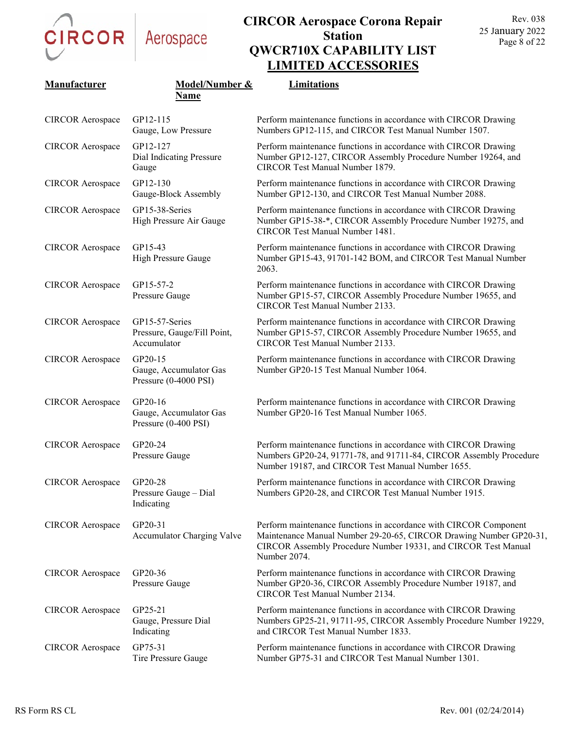

| Manufacturer            | Model/Number &<br>Name                                       | Limitations                                                                                                                                                                                                               |
|-------------------------|--------------------------------------------------------------|---------------------------------------------------------------------------------------------------------------------------------------------------------------------------------------------------------------------------|
| <b>CIRCOR Aerospace</b> | GP12-115<br>Gauge, Low Pressure                              | Perform maintenance functions in accordance with CIRCOR Drawing<br>Numbers GP12-115, and CIRCOR Test Manual Number 1507.                                                                                                  |
| <b>CIRCOR</b> Aerospace | GP12-127<br>Dial Indicating Pressure<br>Gauge                | Perform maintenance functions in accordance with CIRCOR Drawing<br>Number GP12-127, CIRCOR Assembly Procedure Number 19264, and<br>CIRCOR Test Manual Number 1879.                                                        |
| <b>CIRCOR</b> Aerospace | GP12-130<br>Gauge-Block Assembly                             | Perform maintenance functions in accordance with CIRCOR Drawing<br>Number GP12-130, and CIRCOR Test Manual Number 2088.                                                                                                   |
| <b>CIRCOR</b> Aerospace | GP15-38-Series<br>High Pressure Air Gauge                    | Perform maintenance functions in accordance with CIRCOR Drawing<br>Number GP15-38-*, CIRCOR Assembly Procedure Number 19275, and<br>CIRCOR Test Manual Number 1481.                                                       |
| <b>CIRCOR</b> Aerospace | GP15-43<br>High Pressure Gauge                               | Perform maintenance functions in accordance with CIRCOR Drawing<br>Number GP15-43, 91701-142 BOM, and CIRCOR Test Manual Number<br>2063.                                                                                  |
| <b>CIRCOR Aerospace</b> | GP15-57-2<br>Pressure Gauge                                  | Perform maintenance functions in accordance with CIRCOR Drawing<br>Number GP15-57, CIRCOR Assembly Procedure Number 19655, and<br>CIRCOR Test Manual Number 2133.                                                         |
| <b>CIRCOR</b> Aerospace | GP15-57-Series<br>Pressure, Gauge/Fill Point,<br>Accumulator | Perform maintenance functions in accordance with CIRCOR Drawing<br>Number GP15-57, CIRCOR Assembly Procedure Number 19655, and<br>CIRCOR Test Manual Number 2133.                                                         |
| <b>CIRCOR</b> Aerospace | GP20-15<br>Gauge, Accumulator Gas<br>Pressure (0-4000 PSI)   | Perform maintenance functions in accordance with CIRCOR Drawing<br>Number GP20-15 Test Manual Number 1064.                                                                                                                |
| <b>CIRCOR</b> Aerospace | GP20-16<br>Gauge, Accumulator Gas<br>Pressure (0-400 PSI)    | Perform maintenance functions in accordance with CIRCOR Drawing<br>Number GP20-16 Test Manual Number 1065.                                                                                                                |
| <b>CIRCOR</b> Aerospace | GP20-24<br>Pressure Gauge                                    | Perform maintenance functions in accordance with CIRCOR Drawing<br>Numbers GP20-24, 91771-78, and 91711-84, CIRCOR Assembly Procedure<br>Number 19187, and CIRCOR Test Manual Number 1655.                                |
| <b>CIRCOR Aerospace</b> | GP20-28<br>Pressure Gauge - Dial<br>Indicating               | Perform maintenance functions in accordance with CIRCOR Drawing<br>Numbers GP20-28, and CIRCOR Test Manual Number 1915.                                                                                                   |
| <b>CIRCOR</b> Aerospace | GP20-31<br><b>Accumulator Charging Valve</b>                 | Perform maintenance functions in accordance with CIRCOR Component<br>Maintenance Manual Number 29-20-65, CIRCOR Drawing Number GP20-31,<br>CIRCOR Assembly Procedure Number 19331, and CIRCOR Test Manual<br>Number 2074. |
| <b>CIRCOR Aerospace</b> | GP20-36<br>Pressure Gauge                                    | Perform maintenance functions in accordance with CIRCOR Drawing<br>Number GP20-36, CIRCOR Assembly Procedure Number 19187, and<br>CIRCOR Test Manual Number 2134.                                                         |
| <b>CIRCOR</b> Aerospace | GP25-21<br>Gauge, Pressure Dial<br>Indicating                | Perform maintenance functions in accordance with CIRCOR Drawing<br>Numbers GP25-21, 91711-95, CIRCOR Assembly Procedure Number 19229,<br>and CIRCOR Test Manual Number 1833.                                              |
| <b>CIRCOR</b> Aerospace | GP75-31<br>Tire Pressure Gauge                               | Perform maintenance functions in accordance with CIRCOR Drawing<br>Number GP75-31 and CIRCOR Test Manual Number 1301.                                                                                                     |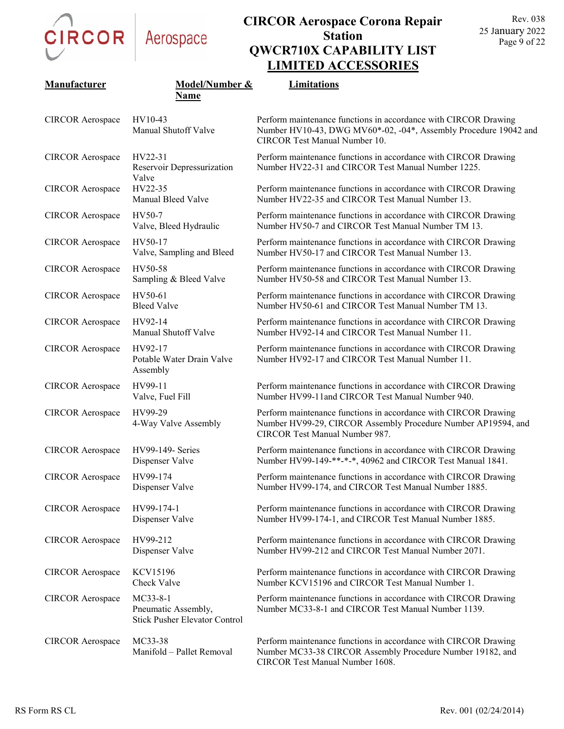

### **CIRCOR Aerospace Corona Repair Station QWCR710X CAPABILITY LIST LIMITED ACCESSORIES**

| Manufacturer            | Model/Number &<br><b>Name</b>                                           | Limitations                                                                                                                                                               |
|-------------------------|-------------------------------------------------------------------------|---------------------------------------------------------------------------------------------------------------------------------------------------------------------------|
| <b>CIRCOR</b> Aerospace | HV10-43<br>Manual Shutoff Valve                                         | Perform maintenance functions in accordance with CIRCOR Drawing<br>Number HV10-43, DWG MV60*-02, -04*, Assembly Procedure 19042 and<br>CIRCOR Test Manual Number 10.      |
| <b>CIRCOR</b> Aerospace | HV22-31<br>Reservoir Depressurization<br>Valve                          | Perform maintenance functions in accordance with CIRCOR Drawing<br>Number HV22-31 and CIRCOR Test Manual Number 1225.                                                     |
| <b>CIRCOR</b> Aerospace | HV22-35<br>Manual Bleed Valve                                           | Perform maintenance functions in accordance with CIRCOR Drawing<br>Number HV22-35 and CIRCOR Test Manual Number 13.                                                       |
| <b>CIRCOR</b> Aerospace | HV50-7<br>Valve, Bleed Hydraulic                                        | Perform maintenance functions in accordance with CIRCOR Drawing<br>Number HV50-7 and CIRCOR Test Manual Number TM 13.                                                     |
| <b>CIRCOR</b> Aerospace | HV50-17<br>Valve, Sampling and Bleed                                    | Perform maintenance functions in accordance with CIRCOR Drawing<br>Number HV50-17 and CIRCOR Test Manual Number 13.                                                       |
| <b>CIRCOR Aerospace</b> | HV50-58<br>Sampling & Bleed Valve                                       | Perform maintenance functions in accordance with CIRCOR Drawing<br>Number HV50-58 and CIRCOR Test Manual Number 13.                                                       |
| <b>CIRCOR</b> Aerospace | HV50-61<br><b>Bleed Valve</b>                                           | Perform maintenance functions in accordance with CIRCOR Drawing<br>Number HV50-61 and CIRCOR Test Manual Number TM 13.                                                    |
| <b>CIRCOR</b> Aerospace | HV92-14<br>Manual Shutoff Valve                                         | Perform maintenance functions in accordance with CIRCOR Drawing<br>Number HV92-14 and CIRCOR Test Manual Number 11.                                                       |
| <b>CIRCOR</b> Aerospace | HV92-17<br>Potable Water Drain Valve<br>Assembly                        | Perform maintenance functions in accordance with CIRCOR Drawing<br>Number HV92-17 and CIRCOR Test Manual Number 11.                                                       |
| <b>CIRCOR</b> Aerospace | HV99-11<br>Valve, Fuel Fill                                             | Perform maintenance functions in accordance with CIRCOR Drawing<br>Number HV99-11and CIRCOR Test Manual Number 940.                                                       |
| <b>CIRCOR</b> Aerospace | HV99-29<br>4-Way Valve Assembly                                         | Perform maintenance functions in accordance with CIRCOR Drawing<br>Number HV99-29, CIRCOR Assembly Procedure Number AP19594, and<br><b>CIRCOR Test Manual Number 987.</b> |
| <b>CIRCOR</b> Aerospace | HV99-149- Series<br>Dispenser Valve                                     | Perform maintenance functions in accordance with CIRCOR Drawing<br>Number HV99-149-**-*-*, 40962 and CIRCOR Test Manual 1841.                                             |
| <b>CIRCOR</b> Aerospace | HV99-174<br>Dispenser Valve                                             | Perform maintenance functions in accordance with CIRCOR Drawing<br>Number HV99-174, and CIRCOR Test Manual Number 1885.                                                   |
| <b>CIRCOR</b> Aerospace | HV99-174-1<br>Dispenser Valve                                           | Perform maintenance functions in accordance with CIRCOR Drawing<br>Number HV99-174-1, and CIRCOR Test Manual Number 1885.                                                 |
| <b>CIRCOR</b> Aerospace | HV99-212<br>Dispenser Valve                                             | Perform maintenance functions in accordance with CIRCOR Drawing<br>Number HV99-212 and CIRCOR Test Manual Number 2071.                                                    |
| <b>CIRCOR</b> Aerospace | <b>KCV15196</b><br>Check Valve                                          | Perform maintenance functions in accordance with CIRCOR Drawing<br>Number KCV15196 and CIRCOR Test Manual Number 1.                                                       |
| <b>CIRCOR Aerospace</b> | MC33-8-1<br>Pneumatic Assembly,<br><b>Stick Pusher Elevator Control</b> | Perform maintenance functions in accordance with CIRCOR Drawing<br>Number MC33-8-1 and CIRCOR Test Manual Number 1139.                                                    |
| <b>CIRCOR</b> Aerospace | MC33-38<br>Manifold - Pallet Removal                                    | Perform maintenance functions in accordance with CIRCOR Drawing<br>Number MC33-38 CIRCOR Assembly Procedure Number 19182, and                                             |

CIRCOR Test Manual Number 1608.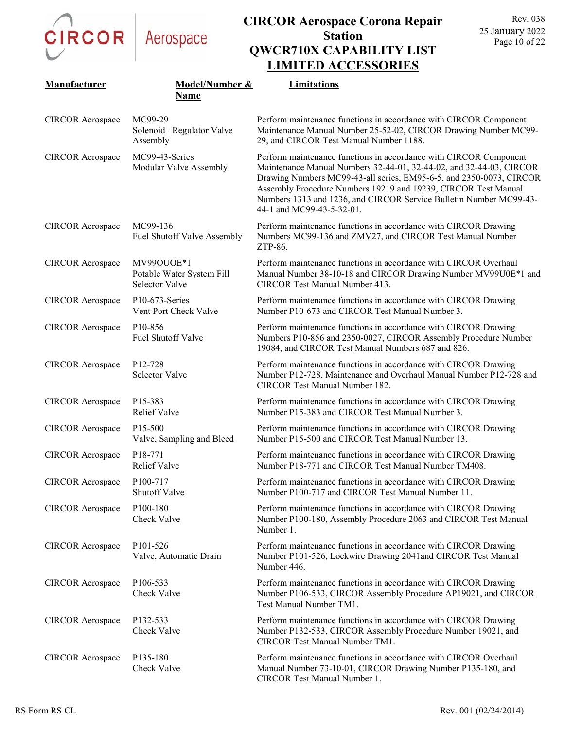

| Manufacturer            | Model/Number &<br>Name                                    | Limitations                                                                                                                                                                                                                                                                                                                                                                          |
|-------------------------|-----------------------------------------------------------|--------------------------------------------------------------------------------------------------------------------------------------------------------------------------------------------------------------------------------------------------------------------------------------------------------------------------------------------------------------------------------------|
| <b>CIRCOR</b> Aerospace | MC99-29<br>Solenoid -Regulator Valve<br>Assembly          | Perform maintenance functions in accordance with CIRCOR Component<br>Maintenance Manual Number 25-52-02, CIRCOR Drawing Number MC99-<br>29, and CIRCOR Test Manual Number 1188.                                                                                                                                                                                                      |
| <b>CIRCOR</b> Aerospace | MC99-43-Series<br>Modular Valve Assembly                  | Perform maintenance functions in accordance with CIRCOR Component<br>Maintenance Manual Numbers 32-44-01, 32-44-02, and 32-44-03, CIRCOR<br>Drawing Numbers MC99-43-all series, EM95-6-5, and 2350-0073, CIRCOR<br>Assembly Procedure Numbers 19219 and 19239, CIRCOR Test Manual<br>Numbers 1313 and 1236, and CIRCOR Service Bulletin Number MC99-43-<br>44-1 and MC99-43-5-32-01. |
| <b>CIRCOR</b> Aerospace | MC99-136<br>Fuel Shutoff Valve Assembly                   | Perform maintenance functions in accordance with CIRCOR Drawing<br>Numbers MC99-136 and ZMV27, and CIRCOR Test Manual Number<br>ZTP-86.                                                                                                                                                                                                                                              |
| <b>CIRCOR</b> Aerospace | MV99OUOE*1<br>Potable Water System Fill<br>Selector Valve | Perform maintenance functions in accordance with CIRCOR Overhaul<br>Manual Number 38-10-18 and CIRCOR Drawing Number MV99U0E*1 and<br>CIRCOR Test Manual Number 413.                                                                                                                                                                                                                 |
| <b>CIRCOR</b> Aerospace | P10-673-Series<br>Vent Port Check Valve                   | Perform maintenance functions in accordance with CIRCOR Drawing<br>Number P10-673 and CIRCOR Test Manual Number 3.                                                                                                                                                                                                                                                                   |
| <b>CIRCOR</b> Aerospace | P <sub>10</sub> -856<br>Fuel Shutoff Valve                | Perform maintenance functions in accordance with CIRCOR Drawing<br>Numbers P10-856 and 2350-0027, CIRCOR Assembly Procedure Number<br>19084, and CIRCOR Test Manual Numbers 687 and 826.                                                                                                                                                                                             |
| <b>CIRCOR</b> Aerospace | P <sub>12</sub> -728<br>Selector Valve                    | Perform maintenance functions in accordance with CIRCOR Drawing<br>Number P12-728, Maintenance and Overhaul Manual Number P12-728 and<br>CIRCOR Test Manual Number 182.                                                                                                                                                                                                              |
| <b>CIRCOR</b> Aerospace | P <sub>15</sub> -383<br><b>Relief Valve</b>               | Perform maintenance functions in accordance with CIRCOR Drawing<br>Number P15-383 and CIRCOR Test Manual Number 3.                                                                                                                                                                                                                                                                   |
| <b>CIRCOR</b> Aerospace | P <sub>15</sub> -500<br>Valve, Sampling and Bleed         | Perform maintenance functions in accordance with CIRCOR Drawing<br>Number P15-500 and CIRCOR Test Manual Number 13.                                                                                                                                                                                                                                                                  |
| <b>CIRCOR Aerospace</b> | P <sub>18</sub> -771<br><b>Relief Valve</b>               | Perform maintenance functions in accordance with CIRCOR Drawing<br>Number P18-771 and CIRCOR Test Manual Number TM408.                                                                                                                                                                                                                                                               |
| <b>CIRCOR</b> Aerospace | P100-717<br>Shutoff Valve                                 | Perform maintenance functions in accordance with CIRCOR Drawing<br>Number P100-717 and CIRCOR Test Manual Number 11.                                                                                                                                                                                                                                                                 |
| <b>CIRCOR Aerospace</b> | P <sub>100</sub> -180<br>Check Valve                      | Perform maintenance functions in accordance with CIRCOR Drawing<br>Number P100-180, Assembly Procedure 2063 and CIRCOR Test Manual<br>Number 1.                                                                                                                                                                                                                                      |
| <b>CIRCOR</b> Aerospace | P <sub>101</sub> -526<br>Valve, Automatic Drain           | Perform maintenance functions in accordance with CIRCOR Drawing<br>Number P101-526, Lockwire Drawing 2041and CIRCOR Test Manual<br>Number 446.                                                                                                                                                                                                                                       |
| <b>CIRCOR</b> Aerospace | P106-533<br>Check Valve                                   | Perform maintenance functions in accordance with CIRCOR Drawing<br>Number P106-533, CIRCOR Assembly Procedure AP19021, and CIRCOR<br>Test Manual Number TM1.                                                                                                                                                                                                                         |
| <b>CIRCOR</b> Aerospace | P132-533<br>Check Valve                                   | Perform maintenance functions in accordance with CIRCOR Drawing<br>Number P132-533, CIRCOR Assembly Procedure Number 19021, and<br>CIRCOR Test Manual Number TM1.                                                                                                                                                                                                                    |
| <b>CIRCOR</b> Aerospace | P135-180<br>Check Valve                                   | Perform maintenance functions in accordance with CIRCOR Overhaul<br>Manual Number 73-10-01, CIRCOR Drawing Number P135-180, and<br>CIRCOR Test Manual Number 1.                                                                                                                                                                                                                      |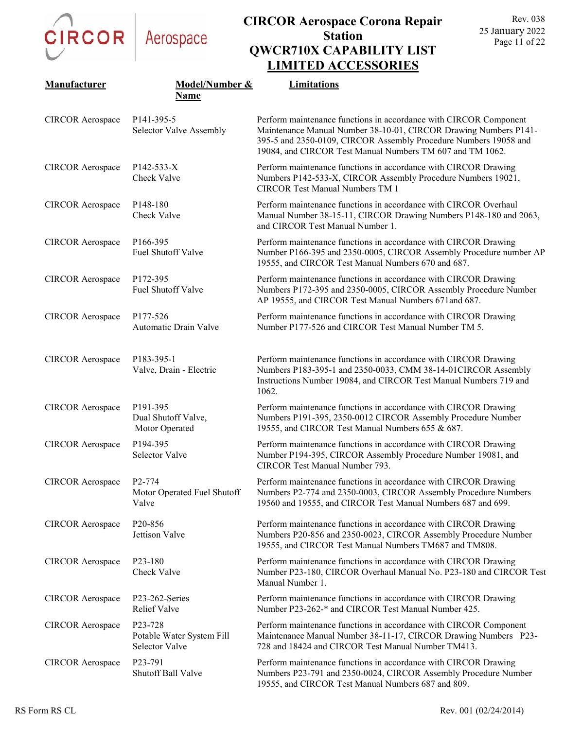CIRCOR Aerospace

| Manufacturer            | Model/Number &                                         | Limitations                                                                                                                                                                                                                                                            |
|-------------------------|--------------------------------------------------------|------------------------------------------------------------------------------------------------------------------------------------------------------------------------------------------------------------------------------------------------------------------------|
|                         | <b>Name</b>                                            |                                                                                                                                                                                                                                                                        |
| <b>CIRCOR</b> Aerospace | P <sub>141</sub> -395-5<br>Selector Valve Assembly     | Perform maintenance functions in accordance with CIRCOR Component<br>Maintenance Manual Number 38-10-01, CIRCOR Drawing Numbers P141-<br>395-5 and 2350-0109, CIRCOR Assembly Procedure Numbers 19058 and<br>19084, and CIRCOR Test Manual Numbers TM 607 and TM 1062. |
| <b>CIRCOR Aerospace</b> | P142-533-X<br>Check Valve                              | Perform maintenance functions in accordance with CIRCOR Drawing<br>Numbers P142-533-X, CIRCOR Assembly Procedure Numbers 19021,<br><b>CIRCOR Test Manual Numbers TM 1</b>                                                                                              |
| <b>CIRCOR</b> Aerospace | P <sub>148-180</sub><br>Check Valve                    | Perform maintenance functions in accordance with CIRCOR Overhaul<br>Manual Number 38-15-11, CIRCOR Drawing Numbers P148-180 and 2063,<br>and CIRCOR Test Manual Number 1.                                                                                              |
| <b>CIRCOR</b> Aerospace | P166-395<br>Fuel Shutoff Valve                         | Perform maintenance functions in accordance with CIRCOR Drawing<br>Number P166-395 and 2350-0005, CIRCOR Assembly Procedure number AP<br>19555, and CIRCOR Test Manual Numbers 670 and 687.                                                                            |
| <b>CIRCOR Aerospace</b> | P172-395<br>Fuel Shutoff Valve                         | Perform maintenance functions in accordance with CIRCOR Drawing<br>Numbers P172-395 and 2350-0005, CIRCOR Assembly Procedure Number<br>AP 19555, and CIRCOR Test Manual Numbers 671 and 687.                                                                           |
| <b>CIRCOR Aerospace</b> | P177-526<br>Automatic Drain Valve                      | Perform maintenance functions in accordance with CIRCOR Drawing<br>Number P177-526 and CIRCOR Test Manual Number TM 5.                                                                                                                                                 |
| <b>CIRCOR</b> Aerospace | P183-395-1<br>Valve, Drain - Electric                  | Perform maintenance functions in accordance with CIRCOR Drawing<br>Numbers P183-395-1 and 2350-0033, CMM 38-14-01CIRCOR Assembly<br>Instructions Number 19084, and CIRCOR Test Manual Numbers 719 and<br>1062.                                                         |
| <b>CIRCOR Aerospace</b> | P191-395<br>Dual Shutoff Valve,<br>Motor Operated      | Perform maintenance functions in accordance with CIRCOR Drawing<br>Numbers P191-395, 2350-0012 CIRCOR Assembly Procedure Number<br>19555, and CIRCOR Test Manual Numbers 655 & 687.                                                                                    |
| <b>CIRCOR Aerospace</b> | P194-395<br>Selector Valve                             | Perform maintenance functions in accordance with CIRCOR Drawing<br>Number P194-395, CIRCOR Assembly Procedure Number 19081, and<br>CIRCOR Test Manual Number 793.                                                                                                      |
| CIRCOR Aerospace P2-774 | Motor Operated Fuel Shutoff<br>Valve                   | Perform maintenance functions in accordance with CIRCOR Drawing<br>Numbers P2-774 and 2350-0003, CIRCOR Assembly Procedure Numbers<br>19560 and 19555, and CIRCOR Test Manual Numbers 687 and 699.                                                                     |
| <b>CIRCOR</b> Aerospace | P <sub>20</sub> -856<br>Jettison Valve                 | Perform maintenance functions in accordance with CIRCOR Drawing<br>Numbers P20-856 and 2350-0023, CIRCOR Assembly Procedure Number<br>19555, and CIRCOR Test Manual Numbers TM687 and TM808.                                                                           |
| <b>CIRCOR</b> Aerospace | P <sub>23</sub> -180<br>Check Valve                    | Perform maintenance functions in accordance with CIRCOR Drawing<br>Number P23-180, CIRCOR Overhaul Manual No. P23-180 and CIRCOR Test<br>Manual Number 1.                                                                                                              |
| <b>CIRCOR Aerospace</b> | P23-262-Series<br><b>Relief Valve</b>                  | Perform maintenance functions in accordance with CIRCOR Drawing<br>Number P23-262-* and CIRCOR Test Manual Number 425.                                                                                                                                                 |
| <b>CIRCOR</b> Aerospace | P23-728<br>Potable Water System Fill<br>Selector Valve | Perform maintenance functions in accordance with CIRCOR Component<br>Maintenance Manual Number 38-11-17, CIRCOR Drawing Numbers P23-<br>728 and 18424 and CIRCOR Test Manual Number TM413.                                                                             |
| <b>CIRCOR</b> Aerospace | P <sub>23</sub> -791<br>Shutoff Ball Valve             | Perform maintenance functions in accordance with CIRCOR Drawing<br>Numbers P23-791 and 2350-0024, CIRCOR Assembly Procedure Number<br>19555, and CIRCOR Test Manual Numbers 687 and 809.                                                                               |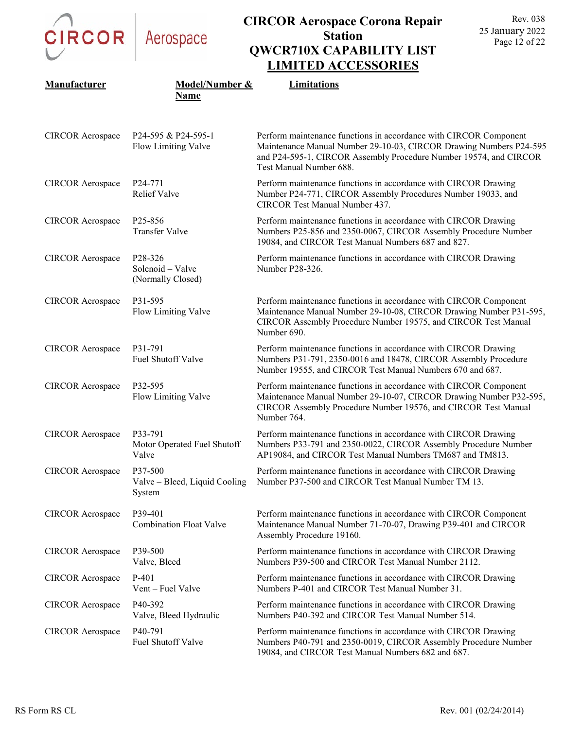

| Manufacturer            | Model/Number &<br>Name                                                    | Limitations                                                                                                                                                                                                                             |
|-------------------------|---------------------------------------------------------------------------|-----------------------------------------------------------------------------------------------------------------------------------------------------------------------------------------------------------------------------------------|
| <b>CIRCOR Aerospace</b> | P24-595 & P24-595-1<br>Flow Limiting Valve                                | Perform maintenance functions in accordance with CIRCOR Component<br>Maintenance Manual Number 29-10-03, CIRCOR Drawing Numbers P24-595<br>and P24-595-1, CIRCOR Assembly Procedure Number 19574, and CIRCOR<br>Test Manual Number 688. |
| <b>CIRCOR Aerospace</b> | P <sub>24</sub> -771<br><b>Relief Valve</b>                               | Perform maintenance functions in accordance with CIRCOR Drawing<br>Number P24-771, CIRCOR Assembly Procedures Number 19033, and<br>CIRCOR Test Manual Number 437.                                                                       |
| <b>CIRCOR</b> Aerospace | P <sub>25</sub> -856<br><b>Transfer Valve</b>                             | Perform maintenance functions in accordance with CIRCOR Drawing<br>Numbers P25-856 and 2350-0067, CIRCOR Assembly Procedure Number<br>19084, and CIRCOR Test Manual Numbers 687 and 827.                                                |
| <b>CIRCOR Aerospace</b> | P <sub>28</sub> -3 <sub>26</sub><br>Solenoid - Valve<br>(Normally Closed) | Perform maintenance functions in accordance with CIRCOR Drawing<br>Number P28-326.                                                                                                                                                      |
| <b>CIRCOR Aerospace</b> | P31-595<br>Flow Limiting Valve                                            | Perform maintenance functions in accordance with CIRCOR Component<br>Maintenance Manual Number 29-10-08, CIRCOR Drawing Number P31-595,<br>CIRCOR Assembly Procedure Number 19575, and CIRCOR Test Manual<br>Number 690.                |
| <b>CIRCOR Aerospace</b> | P31-791<br>Fuel Shutoff Valve                                             | Perform maintenance functions in accordance with CIRCOR Drawing<br>Numbers P31-791, 2350-0016 and 18478, CIRCOR Assembly Procedure<br>Number 19555, and CIRCOR Test Manual Numbers 670 and 687.                                         |
| <b>CIRCOR</b> Aerospace | P32-595<br>Flow Limiting Valve                                            | Perform maintenance functions in accordance with CIRCOR Component<br>Maintenance Manual Number 29-10-07, CIRCOR Drawing Number P32-595,<br>CIRCOR Assembly Procedure Number 19576, and CIRCOR Test Manual<br>Number 764.                |
| <b>CIRCOR</b> Aerospace | P33-791<br>Motor Operated Fuel Shutoff<br>Valve                           | Perform maintenance functions in accordance with CIRCOR Drawing<br>Numbers P33-791 and 2350-0022, CIRCOR Assembly Procedure Number<br>AP19084, and CIRCOR Test Manual Numbers TM687 and TM813.                                          |
| <b>CIRCOR</b> Aerospace | P37-500<br>Valve - Bleed, Liquid Cooling<br>System                        | Perform maintenance functions in accordance with CIRCOR Drawing<br>Number P37-500 and CIRCOR Test Manual Number TM 13.                                                                                                                  |
| <b>CIRCOR</b> Aerospace | P39-401<br><b>Combination Float Valve</b>                                 | Perform maintenance functions in accordance with CIRCOR Component<br>Maintenance Manual Number 71-70-07, Drawing P39-401 and CIRCOR<br>Assembly Procedure 19160.                                                                        |
| <b>CIRCOR</b> Aerospace | P39-500<br>Valve, Bleed                                                   | Perform maintenance functions in accordance with CIRCOR Drawing<br>Numbers P39-500 and CIRCOR Test Manual Number 2112.                                                                                                                  |
| <b>CIRCOR</b> Aerospace | $P-401$<br>Vent – Fuel Valve                                              | Perform maintenance functions in accordance with CIRCOR Drawing<br>Numbers P-401 and CIRCOR Test Manual Number 31.                                                                                                                      |
| <b>CIRCOR</b> Aerospace | P40-392<br>Valve, Bleed Hydraulic                                         | Perform maintenance functions in accordance with CIRCOR Drawing<br>Numbers P40-392 and CIRCOR Test Manual Number 514.                                                                                                                   |
| <b>CIRCOR</b> Aerospace | P <sub>40</sub> -791<br>Fuel Shutoff Valve                                | Perform maintenance functions in accordance with CIRCOR Drawing<br>Numbers P40-791 and 2350-0019, CIRCOR Assembly Procedure Number<br>19084, and CIRCOR Test Manual Numbers 682 and 687.                                                |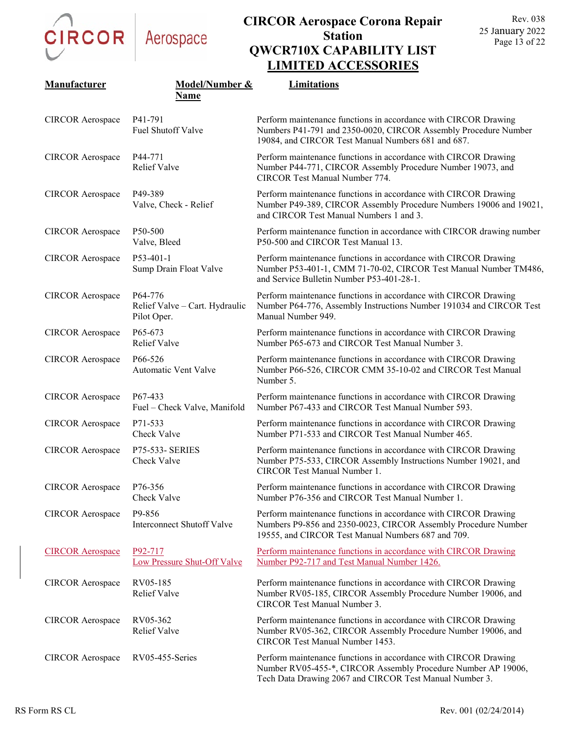

| Manufacturer            | Model/Number &<br>Name                                   | Limitations                                                                                                                                                                                 |
|-------------------------|----------------------------------------------------------|---------------------------------------------------------------------------------------------------------------------------------------------------------------------------------------------|
| <b>CIRCOR</b> Aerospace | P41-791<br>Fuel Shutoff Valve                            | Perform maintenance functions in accordance with CIRCOR Drawing<br>Numbers P41-791 and 2350-0020, CIRCOR Assembly Procedure Number<br>19084, and CIRCOR Test Manual Numbers 681 and 687.    |
| <b>CIRCOR</b> Aerospace | P44-771<br><b>Relief Valve</b>                           | Perform maintenance functions in accordance with CIRCOR Drawing<br>Number P44-771, CIRCOR Assembly Procedure Number 19073, and<br>CIRCOR Test Manual Number 774.                            |
| <b>CIRCOR</b> Aerospace | P49-389<br>Valve, Check - Relief                         | Perform maintenance functions in accordance with CIRCOR Drawing<br>Number P49-389, CIRCOR Assembly Procedure Numbers 19006 and 19021,<br>and CIRCOR Test Manual Numbers 1 and 3.            |
| <b>CIRCOR</b> Aerospace | P50-500<br>Valve, Bleed                                  | Perform maintenance function in accordance with CIRCOR drawing number<br>P50-500 and CIRCOR Test Manual 13.                                                                                 |
| <b>CIRCOR Aerospace</b> | P53-401-1<br>Sump Drain Float Valve                      | Perform maintenance functions in accordance with CIRCOR Drawing<br>Number P53-401-1, CMM 71-70-02, CIRCOR Test Manual Number TM486,<br>and Service Bulletin Number P53-401-28-1.            |
| <b>CIRCOR</b> Aerospace | P64-776<br>Relief Valve - Cart. Hydraulic<br>Pilot Oper. | Perform maintenance functions in accordance with CIRCOR Drawing<br>Number P64-776, Assembly Instructions Number 191034 and CIRCOR Test<br>Manual Number 949.                                |
| <b>CIRCOR</b> Aerospace | P65-673<br><b>Relief Valve</b>                           | Perform maintenance functions in accordance with CIRCOR Drawing<br>Number P65-673 and CIRCOR Test Manual Number 3.                                                                          |
| <b>CIRCOR</b> Aerospace | P <sub>66</sub> -526<br>Automatic Vent Valve             | Perform maintenance functions in accordance with CIRCOR Drawing<br>Number P66-526, CIRCOR CMM 35-10-02 and CIRCOR Test Manual<br>Number 5.                                                  |
| <b>CIRCOR</b> Aerospace | P <sub>67</sub> -433<br>Fuel - Check Valve, Manifold     | Perform maintenance functions in accordance with CIRCOR Drawing<br>Number P67-433 and CIRCOR Test Manual Number 593.                                                                        |
| <b>CIRCOR</b> Aerospace | P71-533<br>Check Valve                                   | Perform maintenance functions in accordance with CIRCOR Drawing<br>Number P71-533 and CIRCOR Test Manual Number 465.                                                                        |
| <b>CIRCOR Aerospace</b> | <b>P75-533- SERIES</b><br>Check Valve                    | Perform maintenance functions in accordance with CIRCOR Drawing<br>Number P75-533, CIRCOR Assembly Instructions Number 19021, and<br>CIRCOR Test Manual Number 1.                           |
| <b>CIRCOR</b> Aerospace | P76-356<br>Check Valve                                   | Perform maintenance functions in accordance with CIRCOR Drawing<br>Number P76-356 and CIRCOR Test Manual Number 1.                                                                          |
| <b>CIRCOR</b> Aerospace | P9-856<br><b>Interconnect Shutoff Valve</b>              | Perform maintenance functions in accordance with CIRCOR Drawing<br>Numbers P9-856 and 2350-0023, CIRCOR Assembly Procedure Number<br>19555, and CIRCOR Test Manual Numbers 687 and 709.     |
| <b>CIRCOR Aerospace</b> | P <sub>92</sub> -717<br>Low Pressure Shut-Off Valve      | Perform maintenance functions in accordance with CIRCOR Drawing<br>Number P92-717 and Test Manual Number 1426.                                                                              |
| <b>CIRCOR Aerospace</b> | RV05-185<br>Relief Valve                                 | Perform maintenance functions in accordance with CIRCOR Drawing<br>Number RV05-185, CIRCOR Assembly Procedure Number 19006, and<br><b>CIRCOR Test Manual Number 3.</b>                      |
| <b>CIRCOR Aerospace</b> | RV05-362<br>Relief Valve                                 | Perform maintenance functions in accordance with CIRCOR Drawing<br>Number RV05-362, CIRCOR Assembly Procedure Number 19006, and<br>CIRCOR Test Manual Number 1453.                          |
| <b>CIRCOR</b> Aerospace | RV05-455-Series                                          | Perform maintenance functions in accordance with CIRCOR Drawing<br>Number RV05-455-*, CIRCOR Assembly Procedure Number AP 19006,<br>Tech Data Drawing 2067 and CIRCOR Test Manual Number 3. |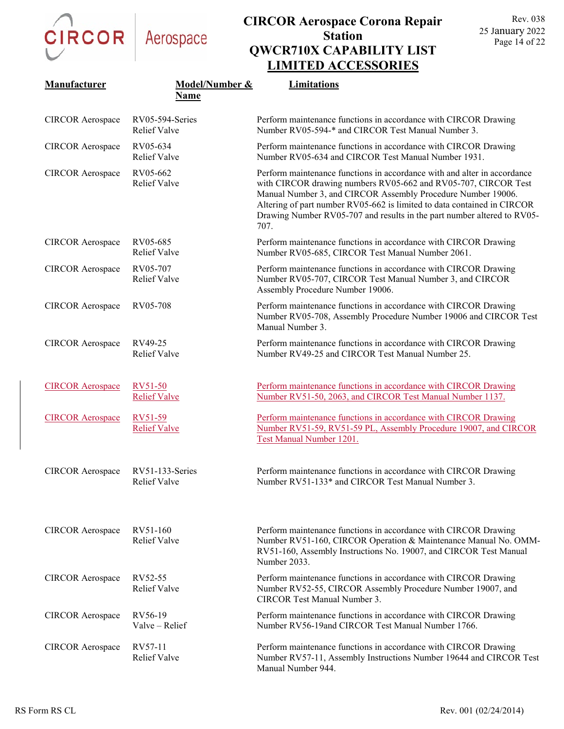CIRCOR Aerospace

|                         |                                        | LIMITED ACCESSORIES                                                                                                                                                                                                                                                                                                                                                      |
|-------------------------|----------------------------------------|--------------------------------------------------------------------------------------------------------------------------------------------------------------------------------------------------------------------------------------------------------------------------------------------------------------------------------------------------------------------------|
| Manufacturer            | <b>Model/Number &amp;</b><br>Name      | Limitations                                                                                                                                                                                                                                                                                                                                                              |
| <b>CIRCOR Aerospace</b> | RV05-594-Series<br><b>Relief Valve</b> | Perform maintenance functions in accordance with CIRCOR Drawing<br>Number RV05-594-* and CIRCOR Test Manual Number 3.                                                                                                                                                                                                                                                    |
| <b>CIRCOR</b> Aerospace | RV05-634<br><b>Relief Valve</b>        | Perform maintenance functions in accordance with CIRCOR Drawing<br>Number RV05-634 and CIRCOR Test Manual Number 1931.                                                                                                                                                                                                                                                   |
| <b>CIRCOR</b> Aerospace | RV05-662<br><b>Relief Valve</b>        | Perform maintenance functions in accordance with and alter in accordance<br>with CIRCOR drawing numbers RV05-662 and RV05-707, CIRCOR Test<br>Manual Number 3, and CIRCOR Assembly Procedure Number 19006.<br>Altering of part number RV05-662 is limited to data contained in CIRCOR<br>Drawing Number RV05-707 and results in the part number altered to RV05-<br>707. |
| <b>CIRCOR</b> Aerospace | RV05-685<br><b>Relief Valve</b>        | Perform maintenance functions in accordance with CIRCOR Drawing<br>Number RV05-685, CIRCOR Test Manual Number 2061.                                                                                                                                                                                                                                                      |
| <b>CIRCOR Aerospace</b> | RV05-707<br><b>Relief Valve</b>        | Perform maintenance functions in accordance with CIRCOR Drawing<br>Number RV05-707, CIRCOR Test Manual Number 3, and CIRCOR<br>Assembly Procedure Number 19006.                                                                                                                                                                                                          |
| <b>CIRCOR</b> Aerospace | RV05-708                               | Perform maintenance functions in accordance with CIRCOR Drawing<br>Number RV05-708, Assembly Procedure Number 19006 and CIRCOR Test<br>Manual Number 3.                                                                                                                                                                                                                  |
| <b>CIRCOR Aerospace</b> | RV49-25<br><b>Relief Valve</b>         | Perform maintenance functions in accordance with CIRCOR Drawing<br>Number RV49-25 and CIRCOR Test Manual Number 25.                                                                                                                                                                                                                                                      |
| <b>CIRCOR Aerospace</b> | RV51-50<br><b>Relief Valve</b>         | Perform maintenance functions in accordance with CIRCOR Drawing<br>Number RV51-50, 2063, and CIRCOR Test Manual Number 1137.                                                                                                                                                                                                                                             |
| <b>CIRCOR Aerospace</b> | RV51-59<br><b>Relief Valve</b>         | Perform maintenance functions in accordance with CIRCOR Drawing<br>Number RV51-59, RV51-59 PL, Assembly Procedure 19007, and CIRCOR<br>Test Manual Number 1201.                                                                                                                                                                                                          |
| <b>CIRCOR</b> Aerospace | RV51-133-Series<br><b>Relief Valve</b> | Perform maintenance functions in accordance with CIRCOR Drawing<br>Number RV51-133* and CIRCOR Test Manual Number 3.                                                                                                                                                                                                                                                     |
| <b>CIRCOR</b> Aerospace | RV51-160<br><b>Relief Valve</b>        | Perform maintenance functions in accordance with CIRCOR Drawing<br>Number RV51-160, CIRCOR Operation & Maintenance Manual No. OMM-<br>RV51-160, Assembly Instructions No. 19007, and CIRCOR Test Manual<br>Number 2033.                                                                                                                                                  |
| <b>CIRCOR</b> Aerospace | RV52-55<br><b>Relief Valve</b>         | Perform maintenance functions in accordance with CIRCOR Drawing<br>Number RV52-55, CIRCOR Assembly Procedure Number 19007, and<br><b>CIRCOR Test Manual Number 3.</b>                                                                                                                                                                                                    |
| <b>CIRCOR</b> Aerospace | RV56-19<br>Valve - Relief              | Perform maintenance functions in accordance with CIRCOR Drawing<br>Number RV56-19and CIRCOR Test Manual Number 1766.                                                                                                                                                                                                                                                     |
| <b>CIRCOR</b> Aerospace | RV57-11<br><b>Relief Valve</b>         | Perform maintenance functions in accordance with CIRCOR Drawing<br>Number RV57-11, Assembly Instructions Number 19644 and CIRCOR Test<br>Manual Number 944.                                                                                                                                                                                                              |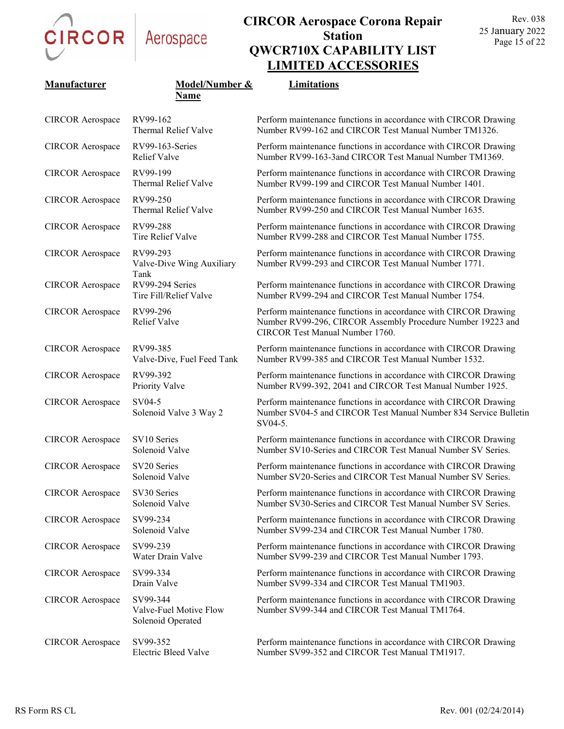

| Manufacturer            | Model/Number &                                          | Limitations                                                                                                                                                       |
|-------------------------|---------------------------------------------------------|-------------------------------------------------------------------------------------------------------------------------------------------------------------------|
|                         | <b>Name</b>                                             |                                                                                                                                                                   |
| <b>CIRCOR</b> Aerospace | RV99-162<br>Thermal Relief Valve                        | Perform maintenance functions in accordance with CIRCOR Drawing<br>Number RV99-162 and CIRCOR Test Manual Number TM1326.                                          |
| <b>CIRCOR Aerospace</b> | RV99-163-Series<br>Relief Valve                         | Perform maintenance functions in accordance with CIRCOR Drawing<br>Number RV99-163-3and CIRCOR Test Manual Number TM1369.                                         |
| <b>CIRCOR Aerospace</b> | RV99-199<br>Thermal Relief Valve                        | Perform maintenance functions in accordance with CIRCOR Drawing<br>Number RV99-199 and CIRCOR Test Manual Number 1401.                                            |
| <b>CIRCOR Aerospace</b> | RV99-250<br>Thermal Relief Valve                        | Perform maintenance functions in accordance with CIRCOR Drawing<br>Number RV99-250 and CIRCOR Test Manual Number 1635.                                            |
| <b>CIRCOR Aerospace</b> | RV99-288<br>Tire Relief Valve                           | Perform maintenance functions in accordance with CIRCOR Drawing<br>Number RV99-288 and CIRCOR Test Manual Number 1755.                                            |
| <b>CIRCOR Aerospace</b> | RV99-293<br>Valve-Dive Wing Auxiliary<br>Tank           | Perform maintenance functions in accordance with CIRCOR Drawing<br>Number RV99-293 and CIRCOR Test Manual Number 1771.                                            |
| <b>CIRCOR Aerospace</b> | RV99-294 Series<br>Tire Fill/Relief Valve               | Perform maintenance functions in accordance with CIRCOR Drawing<br>Number RV99-294 and CIRCOR Test Manual Number 1754.                                            |
| <b>CIRCOR Aerospace</b> | RV99-296<br>Relief Valve                                | Perform maintenance functions in accordance with CIRCOR Drawing<br>Number RV99-296, CIRCOR Assembly Procedure Number 19223 and<br>CIRCOR Test Manual Number 1760. |
| <b>CIRCOR</b> Aerospace | RV99-385<br>Valve-Dive, Fuel Feed Tank                  | Perform maintenance functions in accordance with CIRCOR Drawing<br>Number RV99-385 and CIRCOR Test Manual Number 1532.                                            |
| <b>CIRCOR Aerospace</b> | RV99-392<br>Priority Valve                              | Perform maintenance functions in accordance with CIRCOR Drawing<br>Number RV99-392, 2041 and CIRCOR Test Manual Number 1925.                                      |
| <b>CIRCOR Aerospace</b> | SV04-5<br>Solenoid Valve 3 Way 2                        | Perform maintenance functions in accordance with CIRCOR Drawing<br>Number SV04-5 and CIRCOR Test Manual Number 834 Service Bulletin<br>SV04-5.                    |
| <b>CIRCOR Aerospace</b> | SV10 Series<br>Solenoid Valve                           | Perform maintenance functions in accordance with CIRCOR Drawing<br>Number SV10-Series and CIRCOR Test Manual Number SV Series.                                    |
| <b>CIRCOR</b> Aerospace | SV20 Series<br>Solenoid Valve                           | Perform maintenance functions in accordance with CIRCOR Drawing<br>Number SV20-Series and CIRCOR Test Manual Number SV Series.                                    |
| <b>CIRCOR</b> Aerospace | SV30 Series<br>Solenoid Valve                           | Perform maintenance functions in accordance with CIRCOR Drawing<br>Number SV30-Series and CIRCOR Test Manual Number SV Series.                                    |
| <b>CIRCOR</b> Aerospace | SV99-234<br>Solenoid Valve                              | Perform maintenance functions in accordance with CIRCOR Drawing<br>Number SV99-234 and CIRCOR Test Manual Number 1780.                                            |
| <b>CIRCOR Aerospace</b> | SV99-239<br>Water Drain Valve                           | Perform maintenance functions in accordance with CIRCOR Drawing<br>Number SV99-239 and CIRCOR Test Manual Number 1793.                                            |
| <b>CIRCOR</b> Aerospace | SV99-334<br>Drain Valve                                 | Perform maintenance functions in accordance with CIRCOR Drawing<br>Number SV99-334 and CIRCOR Test Manual TM1903.                                                 |
| <b>CIRCOR</b> Aerospace | SV99-344<br>Valve-Fuel Motive Flow<br>Solenoid Operated | Perform maintenance functions in accordance with CIRCOR Drawing<br>Number SV99-344 and CIRCOR Test Manual TM1764.                                                 |
| <b>CIRCOR</b> Aerospace | SV99-352<br><b>Electric Bleed Valve</b>                 | Perform maintenance functions in accordance with CIRCOR Drawing<br>Number SV99-352 and CIRCOR Test Manual TM1917.                                                 |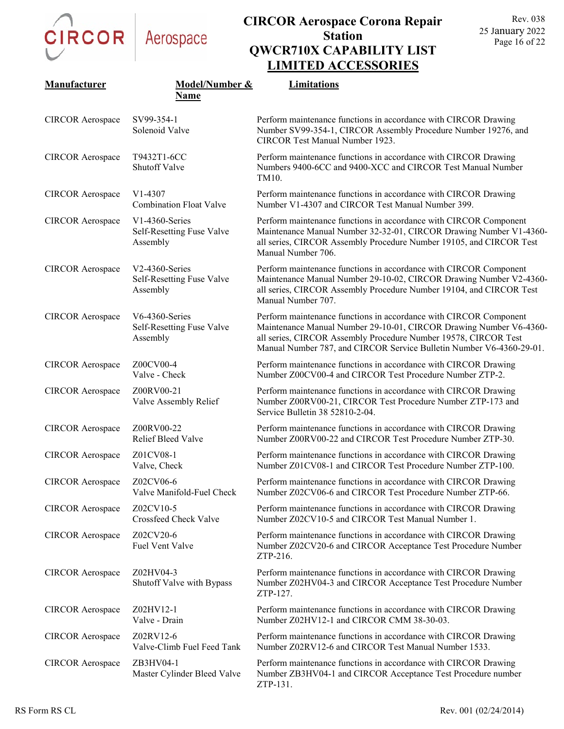

| Manufacturer            | Model/Number &<br>Name                                     | ENTERPRISO STARS<br>Limitations                                                                                                                                                                                                                                                    |
|-------------------------|------------------------------------------------------------|------------------------------------------------------------------------------------------------------------------------------------------------------------------------------------------------------------------------------------------------------------------------------------|
| <b>CIRCOR</b> Aerospace | SV99-354-1<br>Solenoid Valve                               | Perform maintenance functions in accordance with CIRCOR Drawing<br>Number SV99-354-1, CIRCOR Assembly Procedure Number 19276, and<br>CIRCOR Test Manual Number 1923.                                                                                                               |
| <b>CIRCOR</b> Aerospace | T9432T1-6CC<br>Shutoff Valve                               | Perform maintenance functions in accordance with CIRCOR Drawing<br>Numbers 9400-6CC and 9400-XCC and CIRCOR Test Manual Number<br>TM10.                                                                                                                                            |
| <b>CIRCOR</b> Aerospace | V <sub>1</sub> -4307<br><b>Combination Float Valve</b>     | Perform maintenance functions in accordance with CIRCOR Drawing<br>Number V1-4307 and CIRCOR Test Manual Number 399.                                                                                                                                                               |
| <b>CIRCOR</b> Aerospace | $V1-4360$ -Series<br>Self-Resetting Fuse Valve<br>Assembly | Perform maintenance functions in accordance with CIRCOR Component<br>Maintenance Manual Number 32-32-01, CIRCOR Drawing Number V1-4360-<br>all series, CIRCOR Assembly Procedure Number 19105, and CIRCOR Test<br>Manual Number 706.                                               |
| <b>CIRCOR</b> Aerospace | V2-4360-Series<br>Self-Resetting Fuse Valve<br>Assembly    | Perform maintenance functions in accordance with CIRCOR Component<br>Maintenance Manual Number 29-10-02, CIRCOR Drawing Number V2-4360-<br>all series, CIRCOR Assembly Procedure Number 19104, and CIRCOR Test<br>Manual Number 707.                                               |
| <b>CIRCOR</b> Aerospace | V6-4360-Series<br>Self-Resetting Fuse Valve<br>Assembly    | Perform maintenance functions in accordance with CIRCOR Component<br>Maintenance Manual Number 29-10-01, CIRCOR Drawing Number V6-4360-<br>all series, CIRCOR Assembly Procedure Number 19578, CIRCOR Test<br>Manual Number 787, and CIRCOR Service Bulletin Number V6-4360-29-01. |
| <b>CIRCOR</b> Aerospace | Z00CV00-4<br>Valve - Check                                 | Perform maintenance functions in accordance with CIRCOR Drawing<br>Number Z00CV00-4 and CIRCOR Test Procedure Number ZTP-2.                                                                                                                                                        |
| <b>CIRCOR</b> Aerospace | Z00RV00-21<br>Valve Assembly Relief                        | Perform maintenance functions in accordance with CIRCOR Drawing<br>Number Z00RV00-21, CIRCOR Test Procedure Number ZTP-173 and<br>Service Bulletin 38 52810-2-04.                                                                                                                  |
| <b>CIRCOR</b> Aerospace | Z00RV00-22<br>Relief Bleed Valve                           | Perform maintenance functions in accordance with CIRCOR Drawing<br>Number Z00RV00-22 and CIRCOR Test Procedure Number ZTP-30.                                                                                                                                                      |
| <b>CIRCOR Aerospace</b> | Z01CV08-1<br>Valve, Check                                  | Perform maintenance functions in accordance with CIRCOR Drawing<br>Number Z01CV08-1 and CIRCOR Test Procedure Number ZTP-100.                                                                                                                                                      |
| <b>CIRCOR Aerospace</b> | Z02CV06-6<br>Valve Manifold-Fuel Check                     | Perform maintenance functions in accordance with CIRCOR Drawing<br>Number Z02CV06-6 and CIRCOR Test Procedure Number ZTP-66.                                                                                                                                                       |
| <b>CIRCOR</b> Aerospace | Z02CV10-5<br>Crossfeed Check Valve                         | Perform maintenance functions in accordance with CIRCOR Drawing<br>Number Z02CV10-5 and CIRCOR Test Manual Number 1.                                                                                                                                                               |
| <b>CIRCOR</b> Aerospace | Z02CV20-6<br>Fuel Vent Valve                               | Perform maintenance functions in accordance with CIRCOR Drawing<br>Number Z02CV20-6 and CIRCOR Acceptance Test Procedure Number<br>ZTP-216.                                                                                                                                        |
| <b>CIRCOR Aerospace</b> | Z02HV04-3<br>Shutoff Valve with Bypass                     | Perform maintenance functions in accordance with CIRCOR Drawing<br>Number Z02HV04-3 and CIRCOR Acceptance Test Procedure Number<br>ZTP-127.                                                                                                                                        |
| <b>CIRCOR</b> Aerospace | Z02HV12-1<br>Valve - Drain                                 | Perform maintenance functions in accordance with CIRCOR Drawing<br>Number Z02HV12-1 and CIRCOR CMM 38-30-03.                                                                                                                                                                       |
| <b>CIRCOR</b> Aerospace | Z02RV12-6<br>Valve-Climb Fuel Feed Tank                    | Perform maintenance functions in accordance with CIRCOR Drawing<br>Number Z02RV12-6 and CIRCOR Test Manual Number 1533.                                                                                                                                                            |
| <b>CIRCOR</b> Aerospace | ZB3HV04-1<br>Master Cylinder Bleed Valve                   | Perform maintenance functions in accordance with CIRCOR Drawing<br>Number ZB3HV04-1 and CIRCOR Acceptance Test Procedure number<br>ZTP-131.                                                                                                                                        |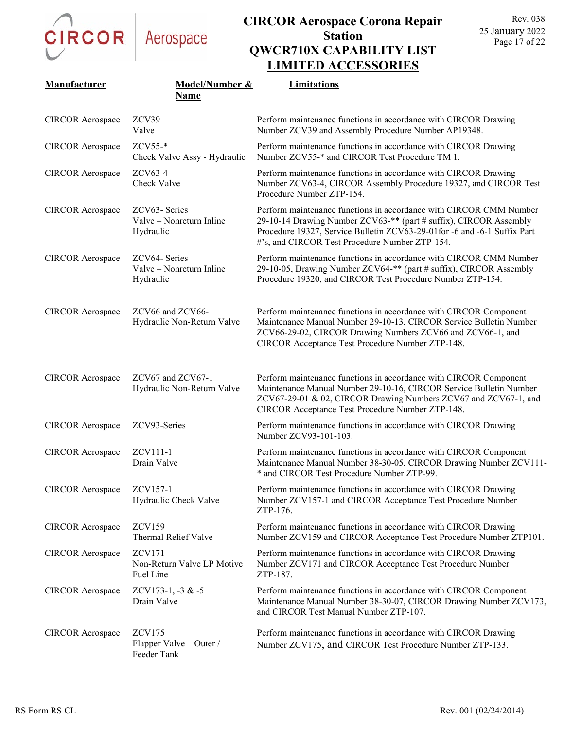CIRCOR

| Manufacturer            | Model/Number &                                           | <b>Limitations</b>                                                                                                                                                                                                                                                    |
|-------------------------|----------------------------------------------------------|-----------------------------------------------------------------------------------------------------------------------------------------------------------------------------------------------------------------------------------------------------------------------|
|                         | <b>Name</b>                                              |                                                                                                                                                                                                                                                                       |
| <b>CIRCOR Aerospace</b> | ZCV39<br>Valve                                           | Perform maintenance functions in accordance with CIRCOR Drawing<br>Number ZCV39 and Assembly Procedure Number AP19348.                                                                                                                                                |
| <b>CIRCOR Aerospace</b> | ZCV55-*<br>Check Valve Assy - Hydraulic                  | Perform maintenance functions in accordance with CIRCOR Drawing<br>Number ZCV55-* and CIRCOR Test Procedure TM 1.                                                                                                                                                     |
| <b>CIRCOR</b> Aerospace | $ZCV63-4$<br>Check Valve                                 | Perform maintenance functions in accordance with CIRCOR Drawing<br>Number ZCV63-4, CIRCOR Assembly Procedure 19327, and CIRCOR Test<br>Procedure Number ZTP-154.                                                                                                      |
| <b>CIRCOR Aerospace</b> | ZCV63-Series<br>Valve - Nonreturn Inline<br>Hydraulic    | Perform maintenance functions in accordance with CIRCOR CMM Number<br>29-10-14 Drawing Number ZCV63-** (part # suffix), CIRCOR Assembly<br>Procedure 19327, Service Bulletin ZCV63-29-01for -6 and -6-1 Suffix Part<br>#'s, and CIRCOR Test Procedure Number ZTP-154. |
| <b>CIRCOR Aerospace</b> | ZCV64- Series<br>Valve - Nonreturn Inline<br>Hydraulic   | Perform maintenance functions in accordance with CIRCOR CMM Number<br>29-10-05, Drawing Number ZCV64-** (part # suffix), CIRCOR Assembly<br>Procedure 19320, and CIRCOR Test Procedure Number ZTP-154.                                                                |
| <b>CIRCOR Aerospace</b> | ZCV66 and ZCV66-1<br>Hydraulic Non-Return Valve          | Perform maintenance functions in accordance with CIRCOR Component<br>Maintenance Manual Number 29-10-13, CIRCOR Service Bulletin Number<br>ZCV66-29-02, CIRCOR Drawing Numbers ZCV66 and ZCV66-1, and<br>CIRCOR Acceptance Test Procedure Number ZTP-148.             |
| <b>CIRCOR Aerospace</b> | ZCV67 and ZCV67-1<br>Hydraulic Non-Return Valve          | Perform maintenance functions in accordance with CIRCOR Component<br>Maintenance Manual Number 29-10-16, CIRCOR Service Bulletin Number<br>ZCV67-29-01 & 02, CIRCOR Drawing Numbers ZCV67 and ZCV67-1, and<br>CIRCOR Acceptance Test Procedure Number ZTP-148.        |
| <b>CIRCOR Aerospace</b> | ZCV93-Series                                             | Perform maintenance functions in accordance with CIRCOR Drawing<br>Number ZCV93-101-103.                                                                                                                                                                              |
| <b>CIRCOR Aerospace</b> | ZCV111-1<br>Drain Valve                                  | Perform maintenance functions in accordance with CIRCOR Component<br>Maintenance Manual Number 38-30-05, CIRCOR Drawing Number ZCV111-<br>* and CIRCOR Test Procedure Number ZTP-99.                                                                                  |
| <b>CIRCOR Aerospace</b> | ZCV157-1<br>Hydraulic Check Valve                        | Perform maintenance functions in accordance with CIRCOR Drawing<br>Number ZCV157-1 and CIRCOR Acceptance Test Procedure Number<br>ZTP-176.                                                                                                                            |
| <b>CIRCOR</b> Aerospace | <b>ZCV159</b><br>Thermal Relief Valve                    | Perform maintenance functions in accordance with CIRCOR Drawing<br>Number ZCV159 and CIRCOR Acceptance Test Procedure Number ZTP101.                                                                                                                                  |
| <b>CIRCOR</b> Aerospace | <b>ZCV171</b><br>Non-Return Valve LP Motive<br>Fuel Line | Perform maintenance functions in accordance with CIRCOR Drawing<br>Number ZCV171 and CIRCOR Acceptance Test Procedure Number<br>ZTP-187.                                                                                                                              |
| <b>CIRCOR</b> Aerospace | ZCV173-1, $-3 & 5$<br>Drain Valve                        | Perform maintenance functions in accordance with CIRCOR Component<br>Maintenance Manual Number 38-30-07, CIRCOR Drawing Number ZCV173,<br>and CIRCOR Test Manual Number ZTP-107.                                                                                      |
| <b>CIRCOR</b> Aerospace | <b>ZCV175</b><br>Flapper Valve - Outer /<br>Feeder Tank  | Perform maintenance functions in accordance with CIRCOR Drawing<br>Number ZCV175, and CIRCOR Test Procedure Number ZTP-133.                                                                                                                                           |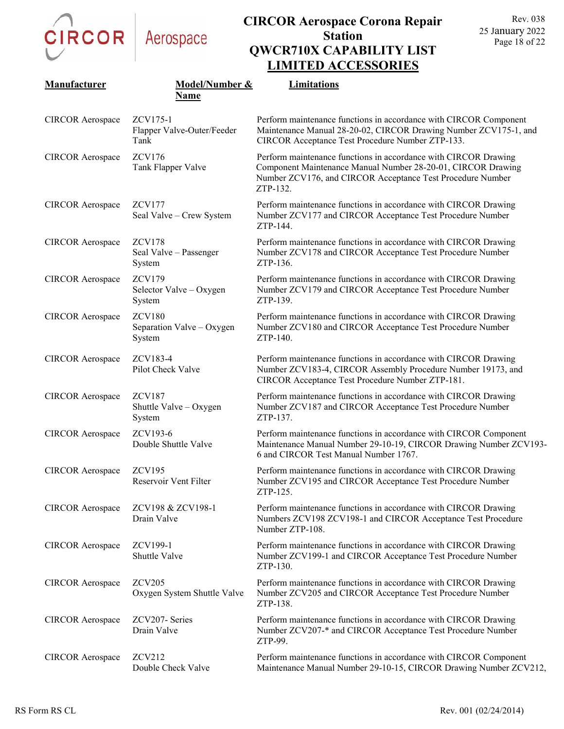

|                         |                                                      | ении тер несевью отмы                                                                                                                                                                                     |
|-------------------------|------------------------------------------------------|-----------------------------------------------------------------------------------------------------------------------------------------------------------------------------------------------------------|
| Manufacturer            | Model/Number &<br>Name                               | Limitations                                                                                                                                                                                               |
| <b>CIRCOR</b> Aerospace | ZCV175-1<br>Flapper Valve-Outer/Feeder<br>Tank       | Perform maintenance functions in accordance with CIRCOR Component<br>Maintenance Manual 28-20-02, CIRCOR Drawing Number ZCV175-1, and<br>CIRCOR Acceptance Test Procedure Number ZTP-133.                 |
| <b>CIRCOR</b> Aerospace | <b>ZCV176</b><br>Tank Flapper Valve                  | Perform maintenance functions in accordance with CIRCOR Drawing<br>Component Maintenance Manual Number 28-20-01, CIRCOR Drawing<br>Number ZCV176, and CIRCOR Acceptance Test Procedure Number<br>ZTP-132. |
| <b>CIRCOR</b> Aerospace | <b>ZCV177</b><br>Seal Valve - Crew System            | Perform maintenance functions in accordance with CIRCOR Drawing<br>Number ZCV177 and CIRCOR Acceptance Test Procedure Number<br>ZTP-144.                                                                  |
| <b>CIRCOR</b> Aerospace | <b>ZCV178</b><br>Seal Valve - Passenger<br>System    | Perform maintenance functions in accordance with CIRCOR Drawing<br>Number ZCV178 and CIRCOR Acceptance Test Procedure Number<br>ZTP-136.                                                                  |
| <b>CIRCOR</b> Aerospace | <b>ZCV179</b><br>Selector Valve - Oxygen<br>System   | Perform maintenance functions in accordance with CIRCOR Drawing<br>Number ZCV179 and CIRCOR Acceptance Test Procedure Number<br>ZTP-139.                                                                  |
| <b>CIRCOR</b> Aerospace | <b>ZCV180</b><br>Separation Valve - Oxygen<br>System | Perform maintenance functions in accordance with CIRCOR Drawing<br>Number ZCV180 and CIRCOR Acceptance Test Procedure Number<br>ZTP-140.                                                                  |
| <b>CIRCOR</b> Aerospace | ZCV183-4<br>Pilot Check Valve                        | Perform maintenance functions in accordance with CIRCOR Drawing<br>Number ZCV183-4, CIRCOR Assembly Procedure Number 19173, and<br>CIRCOR Acceptance Test Procedure Number ZTP-181.                       |
| <b>CIRCOR</b> Aerospace | <b>ZCV187</b><br>Shuttle Valve - Oxygen<br>System    | Perform maintenance functions in accordance with CIRCOR Drawing<br>Number ZCV187 and CIRCOR Acceptance Test Procedure Number<br>ZTP-137.                                                                  |
| <b>CIRCOR</b> Aerospace | ZCV193-6<br>Double Shuttle Valve                     | Perform maintenance functions in accordance with CIRCOR Component<br>Maintenance Manual Number 29-10-19, CIRCOR Drawing Number ZCV193-<br>6 and CIRCOR Test Manual Number 1767.                           |
| <b>CIRCOR</b> Aerospace | <b>ZCV195</b><br>Reservoir Vent Filter               | Perform maintenance functions in accordance with CIRCOR Drawing<br>Number ZCV195 and CIRCOR Acceptance Test Procedure Number<br>ZTP-125.                                                                  |
| <b>CIRCOR</b> Aerospace | ZCV198 & ZCV198-1<br>Drain Valve                     | Perform maintenance functions in accordance with CIRCOR Drawing<br>Numbers ZCV198 ZCV198-1 and CIRCOR Acceptance Test Procedure<br>Number ZTP-108.                                                        |
| <b>CIRCOR</b> Aerospace | ZCV199-1<br>Shuttle Valve                            | Perform maintenance functions in accordance with CIRCOR Drawing<br>Number ZCV199-1 and CIRCOR Acceptance Test Procedure Number<br>ZTP-130.                                                                |
| <b>CIRCOR</b> Aerospace | <b>ZCV205</b><br>Oxygen System Shuttle Valve         | Perform maintenance functions in accordance with CIRCOR Drawing<br>Number ZCV205 and CIRCOR Acceptance Test Procedure Number<br>ZTP-138.                                                                  |
| <b>CIRCOR Aerospace</b> | ZCV207- Series<br>Drain Valve                        | Perform maintenance functions in accordance with CIRCOR Drawing<br>Number ZCV207-* and CIRCOR Acceptance Test Procedure Number<br>ZTP-99.                                                                 |
| <b>CIRCOR</b> Aerospace | ZCV212<br>Double Check Valve                         | Perform maintenance functions in accordance with CIRCOR Component<br>Maintenance Manual Number 29-10-15, CIRCOR Drawing Number ZCV212,                                                                    |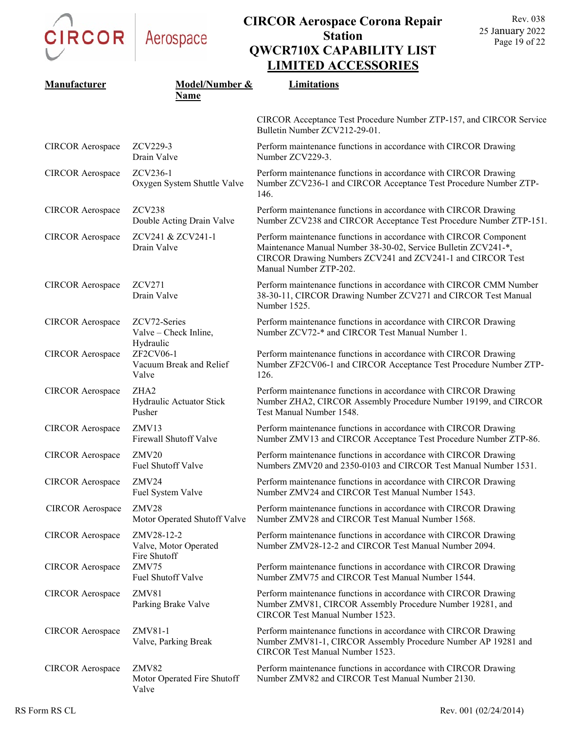CIRCOR

|                         |                                                            | <i>EXAMPLE ROOMS</i>                                                                                                                                                                                                        |
|-------------------------|------------------------------------------------------------|-----------------------------------------------------------------------------------------------------------------------------------------------------------------------------------------------------------------------------|
| Manufacturer            | Model/Number &<br>Name                                     | Limitations                                                                                                                                                                                                                 |
|                         |                                                            | CIRCOR Acceptance Test Procedure Number ZTP-157, and CIRCOR Service<br>Bulletin Number ZCV212-29-01.                                                                                                                        |
| <b>CIRCOR</b> Aerospace | ZCV229-3<br>Drain Valve                                    | Perform maintenance functions in accordance with CIRCOR Drawing<br>Number ZCV229-3.                                                                                                                                         |
| <b>CIRCOR</b> Aerospace | ZCV236-1<br>Oxygen System Shuttle Valve                    | Perform maintenance functions in accordance with CIRCOR Drawing<br>Number ZCV236-1 and CIRCOR Acceptance Test Procedure Number ZTP-<br>146.                                                                                 |
| <b>CIRCOR</b> Aerospace | ZCV238<br>Double Acting Drain Valve                        | Perform maintenance functions in accordance with CIRCOR Drawing<br>Number ZCV238 and CIRCOR Acceptance Test Procedure Number ZTP-151.                                                                                       |
| <b>CIRCOR</b> Aerospace | ZCV241 & ZCV241-1<br>Drain Valve                           | Perform maintenance functions in accordance with CIRCOR Component<br>Maintenance Manual Number 38-30-02, Service Bulletin ZCV241-*,<br>CIRCOR Drawing Numbers ZCV241 and ZCV241-1 and CIRCOR Test<br>Manual Number ZTP-202. |
| <b>CIRCOR</b> Aerospace | ZCV271<br>Drain Valve                                      | Perform maintenance functions in accordance with CIRCOR CMM Number<br>38-30-11, CIRCOR Drawing Number ZCV271 and CIRCOR Test Manual<br>Number 1525.                                                                         |
| <b>CIRCOR</b> Aerospace | ZCV72-Series<br>Valve - Check Inline,                      | Perform maintenance functions in accordance with CIRCOR Drawing<br>Number ZCV72-* and CIRCOR Test Manual Number 1.                                                                                                          |
| <b>CIRCOR</b> Aerospace | Hydraulic<br>ZF2CV06-1<br>Vacuum Break and Relief<br>Valve | Perform maintenance functions in accordance with CIRCOR Drawing<br>Number ZF2CV06-1 and CIRCOR Acceptance Test Procedure Number ZTP-<br>126.                                                                                |
| <b>CIRCOR</b> Aerospace | ZHA <sub>2</sub><br>Hydraulic Actuator Stick<br>Pusher     | Perform maintenance functions in accordance with CIRCOR Drawing<br>Number ZHA2, CIRCOR Assembly Procedure Number 19199, and CIRCOR<br>Test Manual Number 1548.                                                              |
| <b>CIRCOR</b> Aerospace | ZMV13<br>Firewall Shutoff Valve                            | Perform maintenance functions in accordance with CIRCOR Drawing<br>Number ZMV13 and CIRCOR Acceptance Test Procedure Number ZTP-86.                                                                                         |
| <b>CIRCOR</b> Aerospace | ZMV <sub>20</sub><br><b>Fuel Shutoff Valve</b>             | Perform maintenance functions in accordance with CIRCOR Drawing<br>Numbers ZMV20 and 2350-0103 and CIRCOR Test Manual Number 1531.                                                                                          |
| <b>CIRCOR Aerospace</b> | ZMV24<br>Fuel System Valve                                 | Perform maintenance functions in accordance with CIRCOR Drawing<br>Number ZMV24 and CIRCOR Test Manual Number 1543.                                                                                                         |
| <b>CIRCOR</b> Aerospace | ZMV28<br>Motor Operated Shutoff Valve                      | Perform maintenance functions in accordance with CIRCOR Drawing<br>Number ZMV28 and CIRCOR Test Manual Number 1568.                                                                                                         |
| <b>CIRCOR</b> Aerospace | ZMV28-12-2<br>Valve, Motor Operated                        | Perform maintenance functions in accordance with CIRCOR Drawing<br>Number ZMV28-12-2 and CIRCOR Test Manual Number 2094.                                                                                                    |
| <b>CIRCOR</b> Aerospace | Fire Shutoff<br>ZMV75<br>Fuel Shutoff Valve                | Perform maintenance functions in accordance with CIRCOR Drawing<br>Number ZMV75 and CIRCOR Test Manual Number 1544.                                                                                                         |
| <b>CIRCOR</b> Aerospace | ZMV81<br>Parking Brake Valve                               | Perform maintenance functions in accordance with CIRCOR Drawing<br>Number ZMV81, CIRCOR Assembly Procedure Number 19281, and<br>CIRCOR Test Manual Number 1523.                                                             |
| <b>CIRCOR Aerospace</b> | ZMV81-1<br>Valve, Parking Break                            | Perform maintenance functions in accordance with CIRCOR Drawing<br>Number ZMV81-1, CIRCOR Assembly Procedure Number AP 19281 and<br>CIRCOR Test Manual Number 1523.                                                         |
| <b>CIRCOR</b> Aerospace | ZMV82<br>Motor Operated Fire Shutoff<br>Valve              | Perform maintenance functions in accordance with CIRCOR Drawing<br>Number ZMV82 and CIRCOR Test Manual Number 2130.                                                                                                         |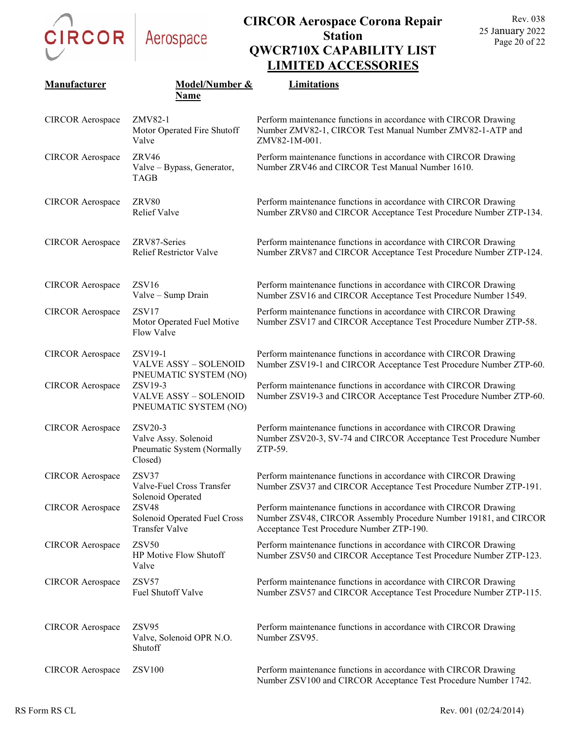CIRCOR

# Aerospace

|                         |                                                                          | LIMITED ACCESSUNIES                                                                                                                                                              |
|-------------------------|--------------------------------------------------------------------------|----------------------------------------------------------------------------------------------------------------------------------------------------------------------------------|
| Manufacturer            | <b>Model/Number &amp;</b><br>Name                                        | Limitations                                                                                                                                                                      |
| <b>CIRCOR</b> Aerospace | ZMV82-1<br>Motor Operated Fire Shutoff<br>Valve                          | Perform maintenance functions in accordance with CIRCOR Drawing<br>Number ZMV82-1, CIRCOR Test Manual Number ZMV82-1-ATP and<br>ZMV82-1M-001.                                    |
| <b>CIRCOR</b> Aerospace | ZRV46<br>Valve - Bypass, Generator,<br><b>TAGB</b>                       | Perform maintenance functions in accordance with CIRCOR Drawing<br>Number ZRV46 and CIRCOR Test Manual Number 1610.                                                              |
| <b>CIRCOR</b> Aerospace | ZRV80<br><b>Relief Valve</b>                                             | Perform maintenance functions in accordance with CIRCOR Drawing<br>Number ZRV80 and CIRCOR Acceptance Test Procedure Number ZTP-134.                                             |
| <b>CIRCOR</b> Aerospace | ZRV87-Series<br><b>Relief Restrictor Valve</b>                           | Perform maintenance functions in accordance with CIRCOR Drawing<br>Number ZRV87 and CIRCOR Acceptance Test Procedure Number ZTP-124.                                             |
| <b>CIRCOR Aerospace</b> | ZSV16<br>Valve - Sump Drain                                              | Perform maintenance functions in accordance with CIRCOR Drawing<br>Number ZSV16 and CIRCOR Acceptance Test Procedure Number 1549.                                                |
| <b>CIRCOR</b> Aerospace | ZSV17<br>Motor Operated Fuel Motive<br>Flow Valve                        | Perform maintenance functions in accordance with CIRCOR Drawing<br>Number ZSV17 and CIRCOR Acceptance Test Procedure Number ZTP-58.                                              |
| <b>CIRCOR</b> Aerospace | ZSV19-1<br><b>VALVE ASSY - SOLENOID</b><br>PNEUMATIC SYSTEM (NO)         | Perform maintenance functions in accordance with CIRCOR Drawing<br>Number ZSV19-1 and CIRCOR Acceptance Test Procedure Number ZTP-60.                                            |
| <b>CIRCOR</b> Aerospace | ZSV19-3<br><b>VALVE ASSY - SOLENOID</b><br>PNEUMATIC SYSTEM (NO)         | Perform maintenance functions in accordance with CIRCOR Drawing<br>Number ZSV19-3 and CIRCOR Acceptance Test Procedure Number ZTP-60.                                            |
| <b>CIRCOR Aerospace</b> | ZSV20-3<br>Valve Assy. Solenoid<br>Pneumatic System (Normally<br>Closed) | Perform maintenance functions in accordance with CIRCOR Drawing<br>Number ZSV20-3, SV-74 and CIRCOR Acceptance Test Procedure Number<br>ZTP-59.                                  |
| <b>CIRCOR</b> Aerospace | ZSV37<br>Valve-Fuel Cross Transfer<br>Solenoid Operated                  | Perform maintenance functions in accordance with CIRCOR Drawing<br>Number ZSV37 and CIRCOR Acceptance Test Procedure Number ZTP-191.                                             |
| <b>CIRCOR Aerospace</b> | ZSV48<br>Solenoid Operated Fuel Cross<br>Transfer Valve                  | Perform maintenance functions in accordance with CIRCOR Drawing<br>Number ZSV48, CIRCOR Assembly Procedure Number 19181, and CIRCOR<br>Acceptance Test Procedure Number ZTP-190. |
| <b>CIRCOR</b> Aerospace | <b>ZSV50</b><br>HP Motive Flow Shutoff<br>Valve                          | Perform maintenance functions in accordance with CIRCOR Drawing<br>Number ZSV50 and CIRCOR Acceptance Test Procedure Number ZTP-123.                                             |
| <b>CIRCOR Aerospace</b> | ZSV57<br>Fuel Shutoff Valve                                              | Perform maintenance functions in accordance with CIRCOR Drawing<br>Number ZSV57 and CIRCOR Acceptance Test Procedure Number ZTP-115.                                             |
| <b>CIRCOR</b> Aerospace | ZSV95<br>Valve, Solenoid OPR N.O.<br>Shutoff                             | Perform maintenance functions in accordance with CIRCOR Drawing<br>Number ZSV95.                                                                                                 |
| <b>CIRCOR</b> Aerospace | <b>ZSV100</b>                                                            | Perform maintenance functions in accordance with CIRCOR Drawing<br>Number ZSV100 and CIRCOR Acceptance Test Procedure Number 1742.                                               |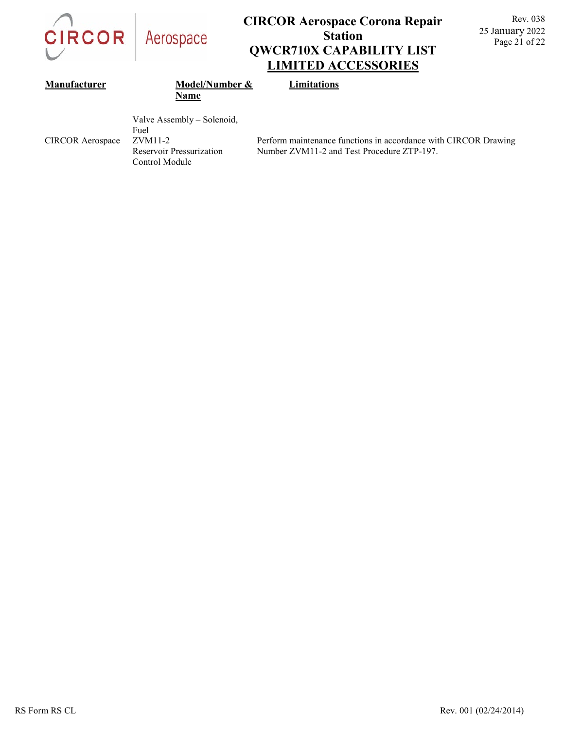